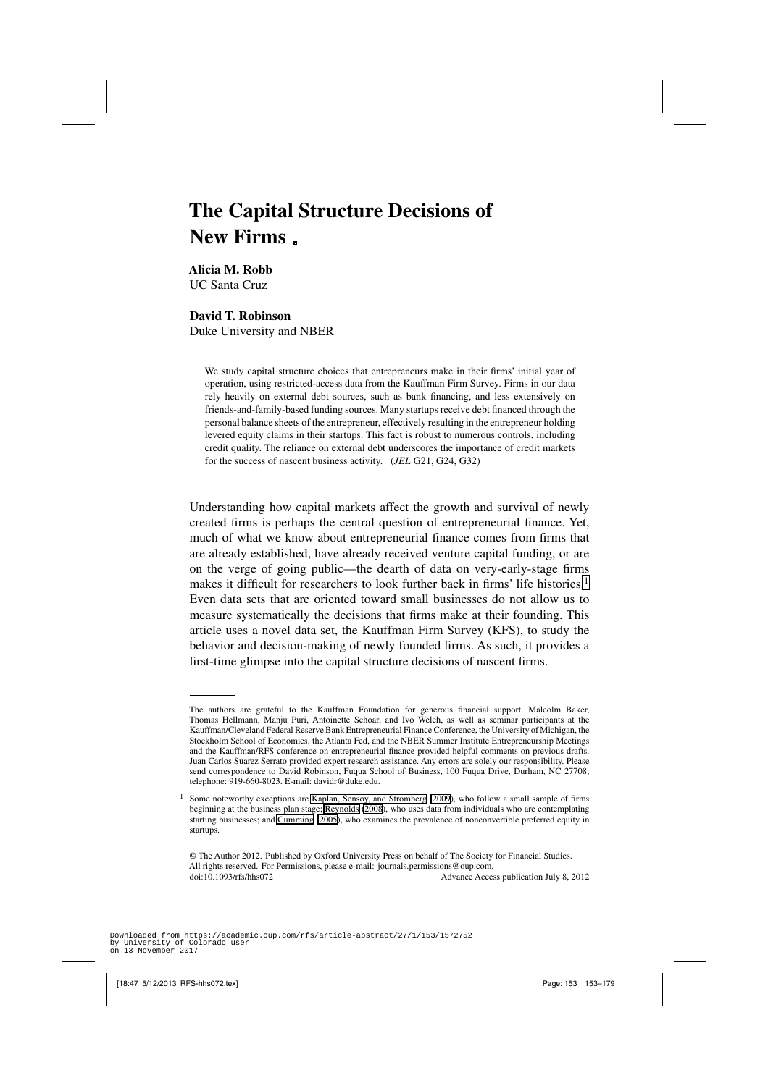# **The Capital Structure Decisions of New Firms**

**Alicia M. Robb**

UC Santa Cruz

# **David T. Robinson** Duke University and NBER

We study capital structure choices that entrepreneurs make in their firms' initial year of operation, using restricted-access data from the Kauffman Firm Survey. Firms in our data rely heavily on external debt sources, such as bank financing, and less extensively on friends-and-family-based funding sources. Many startups receive debt financed through the personal balance sheets of the entrepreneur, effectively resulting in the entrepreneur holding levered equity claims in their startups. This fact is robust to numerous controls, including credit quality. The reliance on external debt underscores the importance of credit markets for the success of nascent business activity. (*JEL* G21, G24, G32)

Understanding how capital markets affect the growth and survival of newly created firms is perhaps the central question of entrepreneurial finance. Yet, much of what we know about entrepreneurial finance comes from firms that are already established, have already received venture capital funding, or are on the verge of going public—the dearth of data on very-early-stage firms makes it difficult for researchers to look further back in firms' life histories.<sup>1</sup> Even data sets that are oriented toward small businesses do not allow us to measure systematically the decisions that firms make at their founding. This article uses a novel data set, the Kauffman Firm Survey (KFS), to study the behavior and decision-making of newly founded firms. As such, it provides a first-time glimpse into the capital structure decisions of nascent firms.

The authors are grateful to the Kauffman Foundation for generous financial support. Malcolm Baker, Thomas Hellmann, Manju Puri, Antoinette Schoar, and Ivo Welch, as well as seminar participants at the Kauffman/Cleveland Federal Reserve Bank Entrepreneurial Finance Conference, the University of Michigan, the Stockholm School of Economics, the Atlanta Fed, and the NBER Summer Institute Entrepreneurship Meetings and the Kauffman/RFS conference on entrepreneurial finance provided helpful comments on previous drafts. Juan Carlos Suarez Serrato provided expert research assistance. Any errors are solely our responsibility. Please send correspondence to David Robinson, Fuqua School of Business, 100 Fuqua Drive, Durham, NC 27708; telephone: 919-660-8023. E-mail: davidr@duke.edu.

<sup>1</sup> Some noteworthy exceptions are [Kaplan, Sensoy, and Stromberg](#page-25-0) [\(2009\)](#page-25-0), who follow a small sample of firms beginning at the business plan stage; [Reynolds](#page-26-0) [\(2008](#page-26-0)), who uses data from individuals who are contemplating starting businesses; and [Cumming](#page-25-0) [\(2005](#page-25-0)), who examines the prevalence of nonconvertible preferred equity in startups.

<sup>©</sup> The Author 2012. Published by Oxford University Press on behalf of The Society for Financial Studies. All rights reserved. For Permissions, please e-mail: journals.permissions@oup.com. doi:10.1093/rfs/hhs072 Advance Access publication July 8, 2012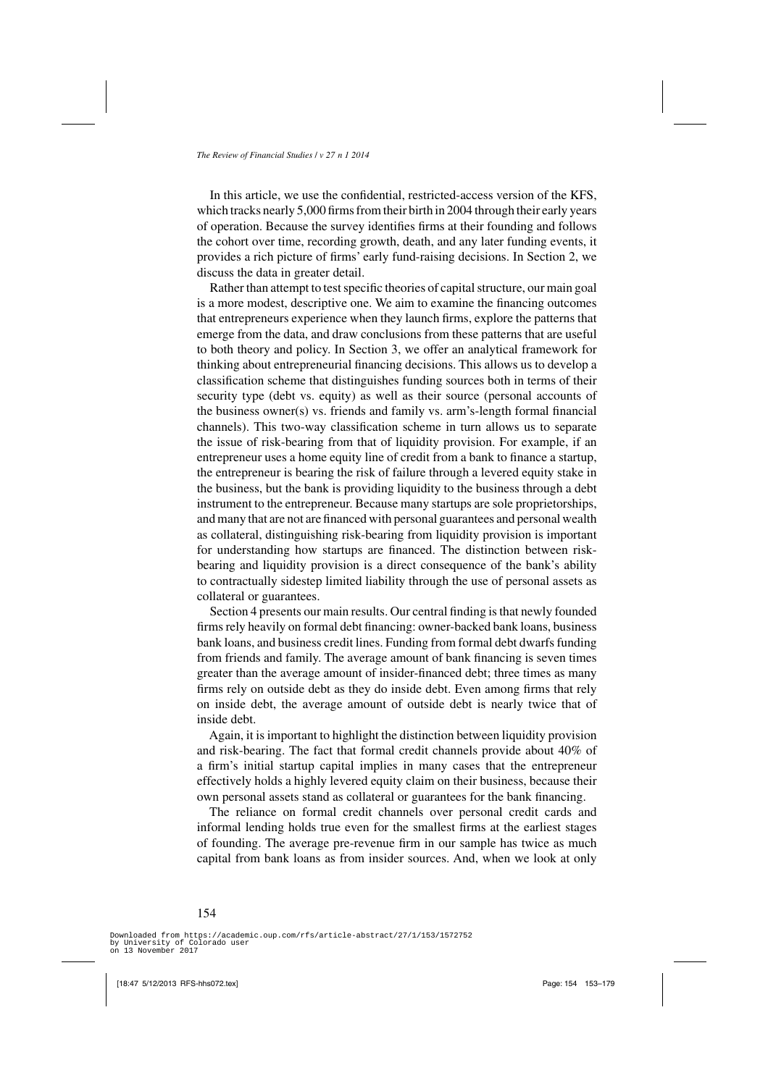In this article, we use the confidential, restricted-access version of the KFS, which tracks nearly 5,000 firms from their birth in 2004 through their early years of operation. Because the survey identifies firms at their founding and follows the cohort over time, recording growth, death, and any later funding events, it provides a rich picture of firms' early fund-raising decisions. In Section 2, we discuss the data in greater detail.

Rather than attempt to test specific theories of capital structure, our main goal is a more modest, descriptive one. We aim to examine the financing outcomes that entrepreneurs experience when they launch firms, explore the patterns that emerge from the data, and draw conclusions from these patterns that are useful to both theory and policy. In Section 3, we offer an analytical framework for thinking about entrepreneurial financing decisions. This allows us to develop a classification scheme that distinguishes funding sources both in terms of their security type (debt vs. equity) as well as their source (personal accounts of the business owner(s) vs. friends and family vs. arm's-length formal financial channels). This two-way classification scheme in turn allows us to separate the issue of risk-bearing from that of liquidity provision. For example, if an entrepreneur uses a home equity line of credit from a bank to finance a startup, the entrepreneur is bearing the risk of failure through a levered equity stake in the business, but the bank is providing liquidity to the business through a debt instrument to the entrepreneur. Because many startups are sole proprietorships, and many that are not are financed with personal guarantees and personal wealth as collateral, distinguishing risk-bearing from liquidity provision is important for understanding how startups are financed. The distinction between riskbearing and liquidity provision is a direct consequence of the bank's ability to contractually sidestep limited liability through the use of personal assets as collateral or guarantees.

Section 4 presents our main results. Our central finding is that newly founded firms rely heavily on formal debt financing: owner-backed bank loans, business bank loans, and business credit lines. Funding from formal debt dwarfs funding from friends and family. The average amount of bank financing is seven times greater than the average amount of insider-financed debt; three times as many firms rely on outside debt as they do inside debt. Even among firms that rely on inside debt, the average amount of outside debt is nearly twice that of inside debt.

Again, it is important to highlight the distinction between liquidity provision and risk-bearing. The fact that formal credit channels provide about 40% of a firm's initial startup capital implies in many cases that the entrepreneur effectively holds a highly levered equity claim on their business, because their own personal assets stand as collateral or guarantees for the bank financing.

The reliance on formal credit channels over personal credit cards and informal lending holds true even for the smallest firms at the earliest stages of founding. The average pre-revenue firm in our sample has twice as much capital from bank loans as from insider sources. And, when we look at only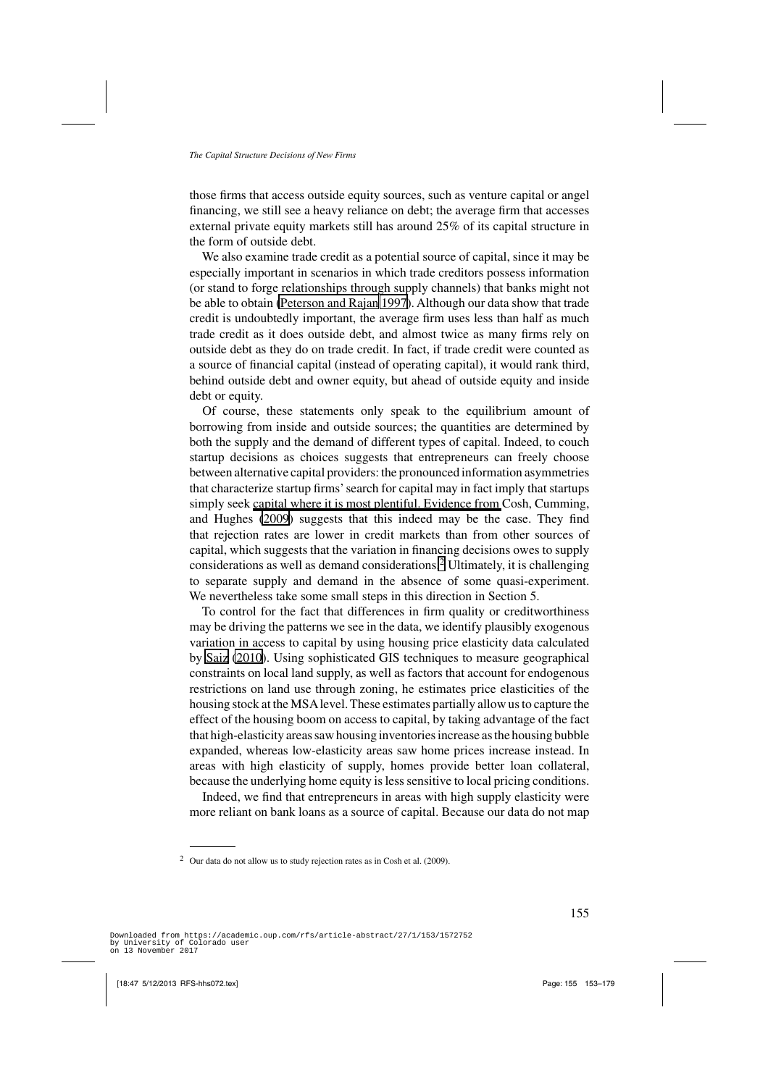those firms that access outside equity sources, such as venture capital or angel financing, we still see a heavy reliance on debt; the average firm that accesses external private equity markets still has around 25% of its capital structure in the form of outside debt.

We also examine trade credit as a potential source of capital, since it may be especially important in scenarios in which trade creditors possess information (or stand to forge relationships through supply channels) that banks might not be able to obtain [\(Peterson and Rajan 1997](#page-26-0)). Although our data show that trade credit is undoubtedly important, the average firm uses less than half as much trade credit as it does outside debt, and almost twice as many firms rely on outside debt as they do on trade credit. In fact, if trade credit were counted as a source of financial capital (instead of operating capital), it would rank third, behind outside debt and owner equity, but ahead of outside equity and inside debt or equity.

Of course, these statements only speak to the equilibrium amount of borrowing from inside and outside sources; the quantities are determined by both the supply and the demand of different types of capital. Indeed, to couch startup decisions as choices suggests that entrepreneurs can freely choose between alternative capital providers: the pronounced information asymmetries that characterize startup firms' search for capital may in fact imply that startups simply seek [capital](#page-25-0) [where](#page-25-0) [it](#page-25-0) [is](#page-25-0) [most](#page-25-0) [plentiful.](#page-25-0) [Evidence](#page-25-0) [from](#page-25-0) Cosh, Cumming, and Hughes [\(2009\)](#page-25-0) suggests that this indeed may be the case. They find that rejection rates are lower in credit markets than from other sources of capital, which suggests that the variation in financing decisions owes to supply considerations as well as demand considerations.<sup>2</sup> Ultimately, it is challenging to separate supply and demand in the absence of some quasi-experiment. We nevertheless take some small steps in this direction in Section 5.

To control for the fact that differences in firm quality or creditworthiness may be driving the patterns we see in the data, we identify plausibly exogenous variation in access to capital by using housing price elasticity data calculated by [Saiz](#page-26-0) [\(2010\)](#page-26-0). Using sophisticated GIS techniques to measure geographical constraints on local land supply, as well as factors that account for endogenous restrictions on land use through zoning, he estimates price elasticities of the housing stock at the MSAlevel. These estimates partially allow us to capture the effect of the housing boom on access to capital, by taking advantage of the fact that high-elasticity areas saw housing inventories increase as the housing bubble expanded, whereas low-elasticity areas saw home prices increase instead. In areas with high elasticity of supply, homes provide better loan collateral, because the underlying home equity is less sensitive to local pricing conditions.

Indeed, we find that entrepreneurs in areas with high supply elasticity were more reliant on bank loans as a source of capital. Because our data do not map

<sup>2</sup> Our data do not allow us to study rejection rates as in Cosh et al. (2009).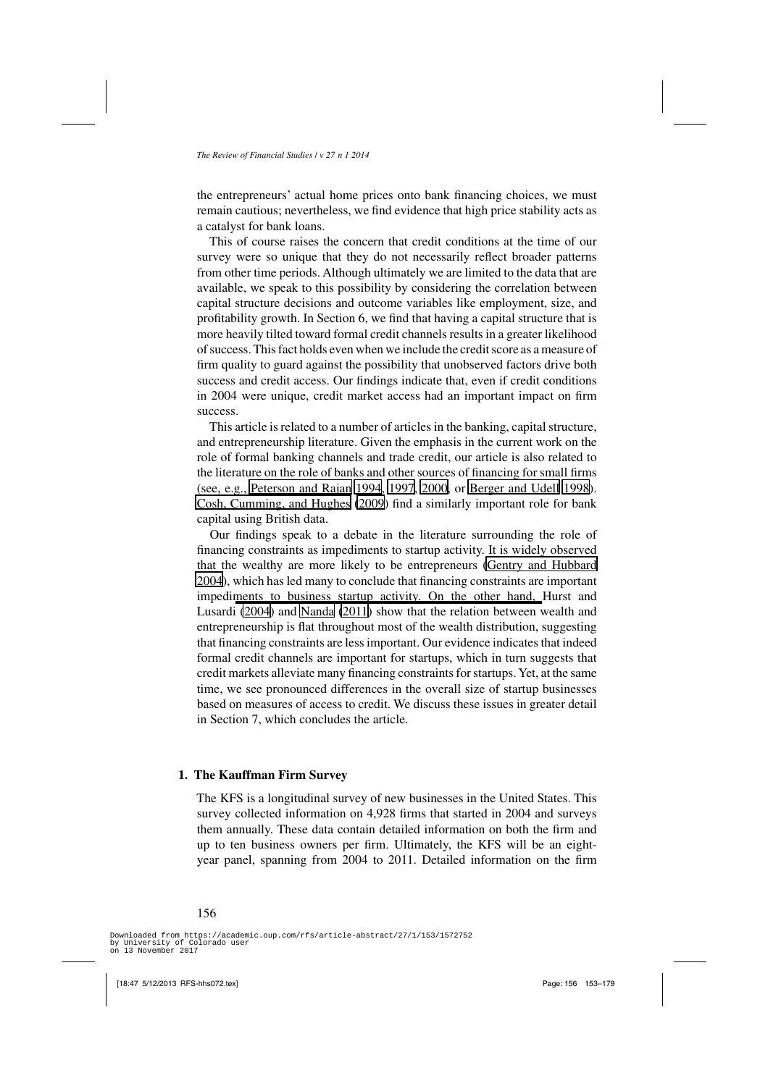the entrepreneurs' actual home prices onto bank financing choices, we must remain cautious; nevertheless, we find evidence that high price stability acts as a catalyst for bank loans.

This of course raises the concern that credit conditions at the time of our survey were so unique that they do not necessarily reflect broader patterns from other time periods. Although ultimately we are limited to the data that are available, we speak to this possibility by considering the correlation between capital structure decisions and outcome variables like employment, size, and profitability growth. In Section 6, we find that having a capital structure that is more heavily tilted toward formal credit channels results in a greater likelihood of success. This fact holds even when we include the credit score as a measure of firm quality to guard against the possibility that unobserved factors drive both success and credit access. Our findings indicate that, even if credit conditions in 2004 were unique, credit market access had an important impact on firm success.

This article is related to a number of articles in the banking, capital structure, and entrepreneurship literature. Given the emphasis in the current work on the role of formal banking channels and trade credit, our article is also related to the literature on the role of banks and other sources of financing for small firms (see, e.g., [Peterson and Rajan 1994](#page-26-0), [1997, 2000](#page-26-0), or [Berger and Udell 1998](#page-25-0)). [Cosh, Cumming, and Hughes](#page-25-0) [\(2009\)](#page-25-0) find a similarly important role for bank capital using British data.

Our findings speak to a debate in the literature surrounding the role of financing constraints as impediments to startup activity. It is widely observed that the wealthy are more likely to be entrepreneurs [\(Gentry and Hubbard](#page-25-0) [2004](#page-25-0)), which has led many to conclude that financing constraints are important impedi[ments to business startup activity. On the other hand,](#page-25-0) Hurst and Lusardi [\(2004](#page-25-0)) and [Nanda](#page-26-0) [\(2011\)](#page-26-0) show that the relation between wealth and entrepreneurship is flat throughout most of the wealth distribution, suggesting that financing constraints are less important. Our evidence indicates that indeed formal credit channels are important for startups, which in turn suggests that credit markets alleviate many financing constraints for startups. Yet, at the same time, we see pronounced differences in the overall size of startup businesses based on measures of access to credit. We discuss these issues in greater detail in Section 7, which concludes the article.

## **1. The Kauffman Firm Survey**

The KFS is a longitudinal survey of new businesses in the United States. This survey collected information on 4,928 firms that started in 2004 and surveys them annually. These data contain detailed information on both the firm and up to ten business owners per firm. Ultimately, the KFS will be an eightyear panel, spanning from 2004 to 2011. Detailed information on the firm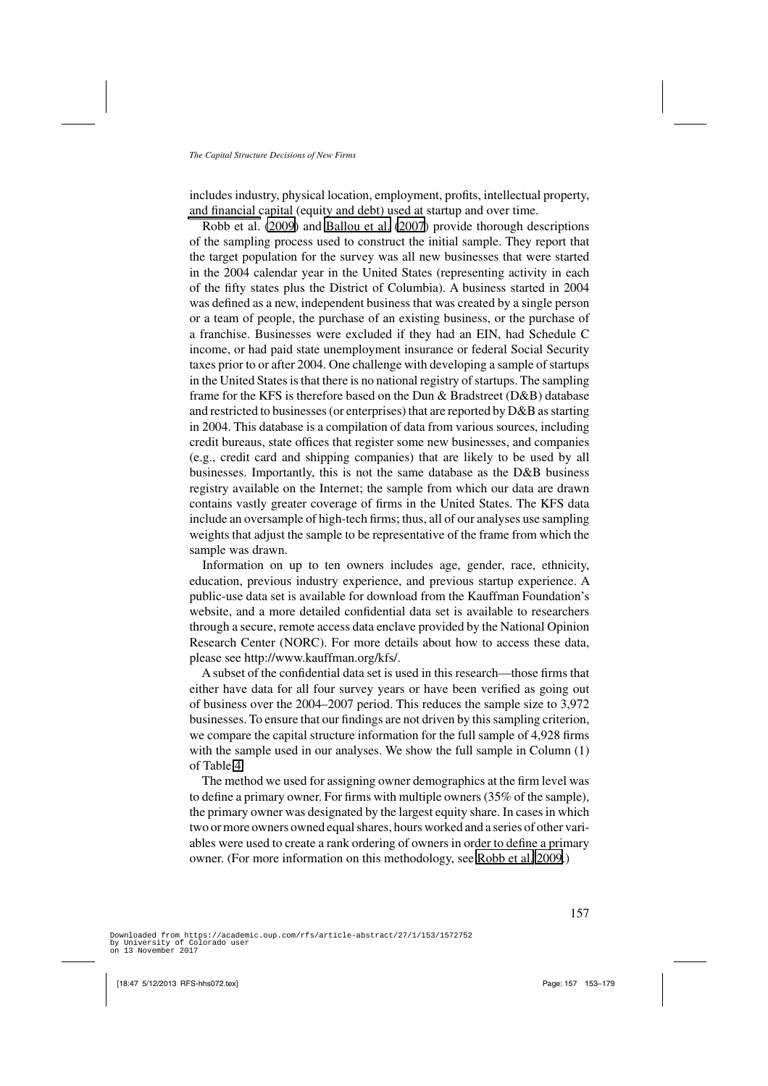includes industry, physical location, employment, profits, intellectual property, and financial capital (equity and debt) used at startup and over time.

Robb et al. [\(2009](#page-26-0)) and [Ballou et al.](#page-25-0) [\(2007\)](#page-25-0) provide thorough descriptions of the sampling process used to construct the initial sample. They report that the target population for the survey was all new businesses that were started in the 2004 calendar year in the United States (representing activity in each of the fifty states plus the District of Columbia). A business started in 2004 was defined as a new, independent business that was created by a single person or a team of people, the purchase of an existing business, or the purchase of a franchise. Businesses were excluded if they had an EIN, had Schedule C income, or had paid state unemployment insurance or federal Social Security taxes prior to or after 2004. One challenge with developing a sample of startups in the United States is that there is no national registry of startups. The sampling frame for the KFS is therefore based on the Dun & Bradstreet (D&B) database and restricted to businesses (or enterprises) that are reported by D&B as starting in 2004. This database is a compilation of data from various sources, including credit bureaus, state offices that register some new businesses, and companies (e.g., credit card and shipping companies) that are likely to be used by all businesses. Importantly, this is not the same database as the D&B business registry available on the Internet; the sample from which our data are drawn contains vastly greater coverage of firms in the United States. The KFS data include an oversample of high-tech firms; thus, all of our analyses use sampling weights that adjust the sample to be representative of the frame from which the sample was drawn.

Information on up to ten owners includes age, gender, race, ethnicity, education, previous industry experience, and previous startup experience. A public-use data set is available for download from the Kauffman Foundation's website, and a more detailed confidential data set is available to researchers through a secure, remote access data enclave provided by the National Opinion Research Center (NORC). For more details about how to access these data, please see http://www.kauffman.org/kfs/.

A subset of the confidential data set is used in this research—those firms that either have data for all four survey years or have been verified as going out of business over the 2004–2007 period. This reduces the sample size to 3,972 businesses. To ensure that our findings are not driven by this sampling criterion, we compare the capital structure information for the full sample of 4,928 firms with the sample used in our analyses. We show the full sample in Column  $(1)$ of Table [4.](#page-11-0)

The method we used for assigning owner demographics at the firm level was to define a primary owner. For firms with multiple owners (35% of the sample), the primary owner was designated by the largest equity share. In cases in which two or more owners owned equal shares, hours worked and a series of other variables were used to create a rank ordering of owners in order to define a primary owner. (For more information on this methodology, see [Robb et al. 2009](#page-26-0).)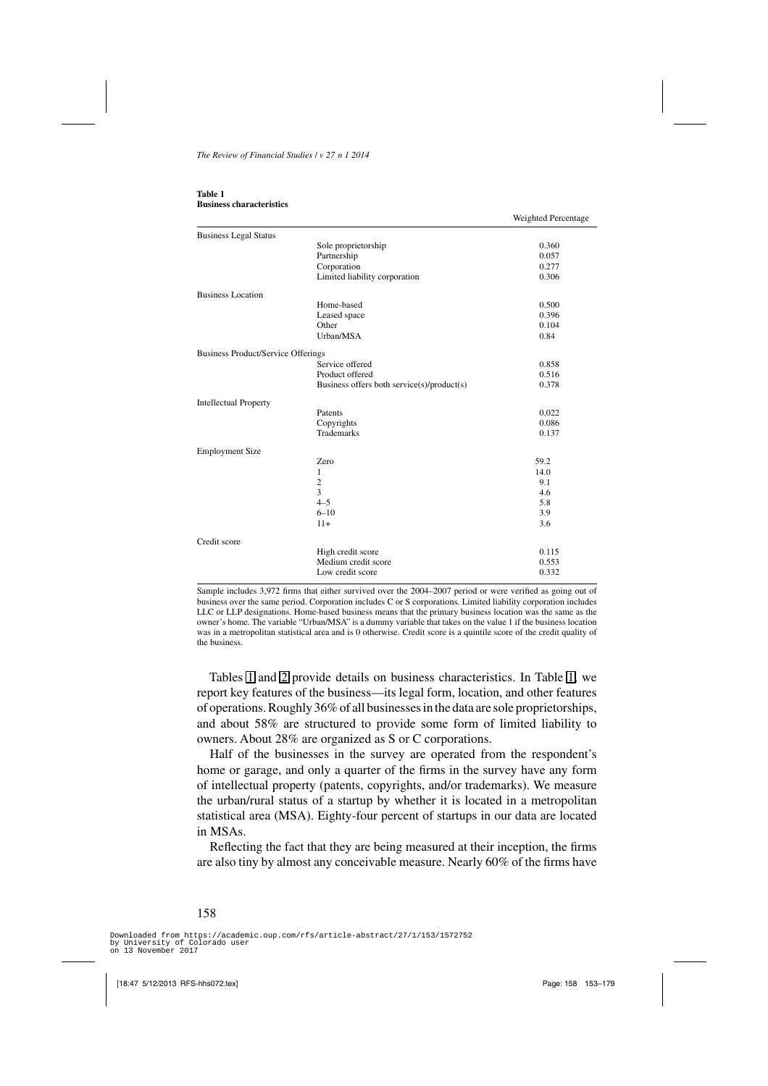|                                           |                                            | Weighted Percentage |
|-------------------------------------------|--------------------------------------------|---------------------|
| <b>Business Legal Status</b>              |                                            |                     |
|                                           | Sole proprietorship                        | 0.360               |
|                                           | Partnership                                | 0.057               |
|                                           | Corporation                                | 0.277               |
|                                           | Limited liability corporation              | 0.306               |
| <b>Business Location</b>                  |                                            |                     |
|                                           | Home-based                                 | 0.500               |
|                                           | Leased space                               | 0.396               |
|                                           | Other                                      | 0.104               |
|                                           | Urban/MSA                                  | 0.84                |
| <b>Business Product/Service Offerings</b> |                                            |                     |
|                                           | Service offered                            | 0.858               |
|                                           | Product offered                            | 0.516               |
|                                           | Business offers both service(s)/product(s) | 0.378               |
| <b>Intellectual Property</b>              |                                            |                     |
|                                           | Patents                                    | 0.022               |
|                                           | Copyrights                                 | 0.086               |
|                                           | <b>Trademarks</b>                          | 0.137               |
| <b>Employment Size</b>                    |                                            |                     |
|                                           | Zero                                       | 59.2                |
|                                           | 1                                          | 14.0                |
|                                           | $\overline{\mathbf{c}}$                    | 9.1                 |
|                                           | 3                                          | 4.6                 |
|                                           | $4 - 5$                                    | 5.8                 |
|                                           | $6 - 10$                                   | 3.9                 |
|                                           | $11+$                                      | 3.6                 |
| Credit score                              |                                            |                     |
|                                           | High credit score                          | 0.115               |
|                                           | Medium credit score                        | 0.553               |
|                                           | Low credit score                           | 0.332               |

#### **Table 1 Business characteristics**

Sample includes 3,972 firms that either survived over the 2004–2007 period or were verified as going out of business over the same period. Corporation includes C or S corporations. Limited liability corporation includes LLC or LLP designations. Home-based business means that the primary business location was the same as the owner's home. The variable "Urban/MSA" is a dummy variable that takes on the value 1 if the business location was in a metropolitan statistical area and is 0 otherwise. Credit score is a quintile score of the credit quality of the business.

Tables 1 and [2](#page-6-0) provide details on business characteristics. In Table 1, we report key features of the business—its legal form, location, and other features of operations. Roughly 36% of all businesses in the data are sole proprietorships, and about 58% are structured to provide some form of limited liability to owners. About 28% are organized as S or C corporations.

Half of the businesses in the survey are operated from the respondent's home or garage, and only a quarter of the firms in the survey have any form of intellectual property (patents, copyrights, and/or trademarks). We measure the urban/rural status of a startup by whether it is located in a metropolitan statistical area (MSA). Eighty-four percent of startups in our data are located in MSAs.

Reflecting the fact that they are being measured at their inception, the firms are also tiny by almost any conceivable measure. Nearly 60% of the firms have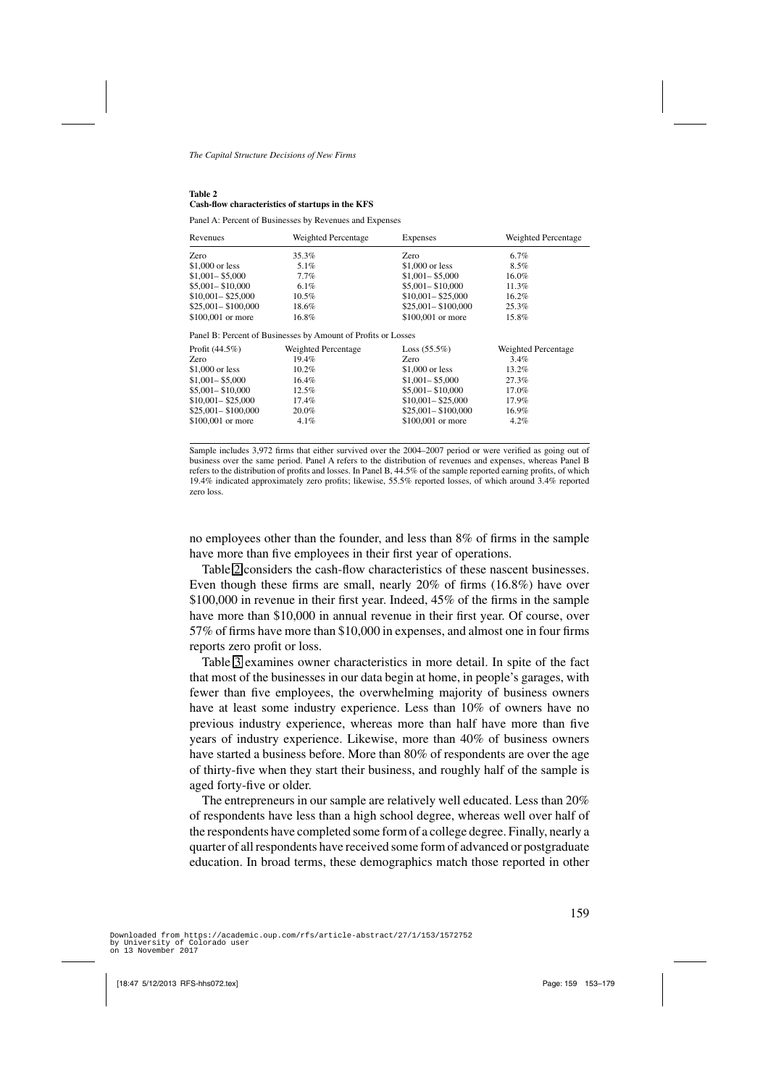#### <span id="page-6-0"></span>**Table 2 Cash-flow characteristics of startups in the KFS**

Panel A: Percent of Businesses by Revenues and Expenses

| Revenues             | Weighted Percentage                                           | Expenses             | Weighted Percentage |
|----------------------|---------------------------------------------------------------|----------------------|---------------------|
| Zero                 | 35.3%                                                         | Zero                 | $6.7\%$             |
| $$1,000$ or less     | 5.1%                                                          | \$1,000 or less      | $8.5\%$             |
| $$1,001 - $5,000$    | 7.7%                                                          | $$1,001 - $5,000$    | 16.0%               |
| $$5,001 - $10,000$   | 6.1%                                                          | $$5,001 - $10,000$   | 11.3%               |
| $$10,001 - $25,000$  | 10.5%                                                         | $$10,001 - $25,000$  | 16.2%               |
| \$25,001 - \$100,000 | 18.6%                                                         | $$25,001 - $100,000$ | 25.3%               |
| \$100,001 or more    | 16.8%                                                         | \$100,001 or more    | 15.8%               |
|                      | Panel B: Percent of Businesses by Amount of Profits or Losses |                      |                     |
| Profit $(44.5\%)$    | Weighted Percentage                                           | Loss (55.5%)         | Weighted Percentage |
| Zero                 | 19.4%                                                         | Zero                 | 3.4%                |
| \$1,000 or less      | 10.2%                                                         | \$1,000 or less      | 13.2%               |
| $$1,001 - $5,000$    | 16.4%                                                         | $$1,001 - $5,000$    | 27.3%               |
| $$5,001 - $10,000$   | 12.5%                                                         | $$5,001 - $10,000$   | 17.0%               |
| $$10,001 - $25,000$  | 17.4%                                                         | $$10,001 - $25,000$  | 17.9%               |
| \$25,001 - \$100,000 | 20.0%                                                         | $$25,001 - $100,000$ | 16.9%               |
| \$100,001 or more    | 4.1%                                                          | \$100,001 or more    | 4.2%                |

Sample includes 3,972 firms that either survived over the 2004–2007 period or were verified as going out of business over the same period. Panel A refers to the distribution of revenues and expenses, whereas Panel B refers to the distribution of profits and losses. In Panel B, 44.5% of the sample reported earning profits, of which 19.4% indicated approximately zero profits; likewise, 55.5% reported losses, of which around 3.4% reported zero loss.

no employees other than the founder, and less than 8% of firms in the sample have more than five employees in their first year of operations.

Table 2 considers the cash-flow characteristics of these nascent businesses. Even though these firms are small, nearly 20% of firms (16.8%) have over \$100,000 in revenue in their first year. Indeed, 45% of the firms in the sample have more than \$10,000 in annual revenue in their first year. Of course, over 57% of firms have more than \$10,000 in expenses, and almost one in four firms reports zero profit or loss.

Table [3](#page-7-0) examines owner characteristics in more detail. In spite of the fact that most of the businesses in our data begin at home, in people's garages, with fewer than five employees, the overwhelming majority of business owners have at least some industry experience. Less than 10% of owners have no previous industry experience, whereas more than half have more than five years of industry experience. Likewise, more than 40% of business owners have started a business before. More than 80% of respondents are over the age of thirty-five when they start their business, and roughly half of the sample is aged forty-five or older.

The entrepreneurs in our sample are relatively well educated. Less than 20% of respondents have less than a high school degree, whereas well over half of the respondents have completed some form of a college degree. Finally, nearly a quarter of all respondents have received some form of advanced or postgraduate education. In broad terms, these demographics match those reported in other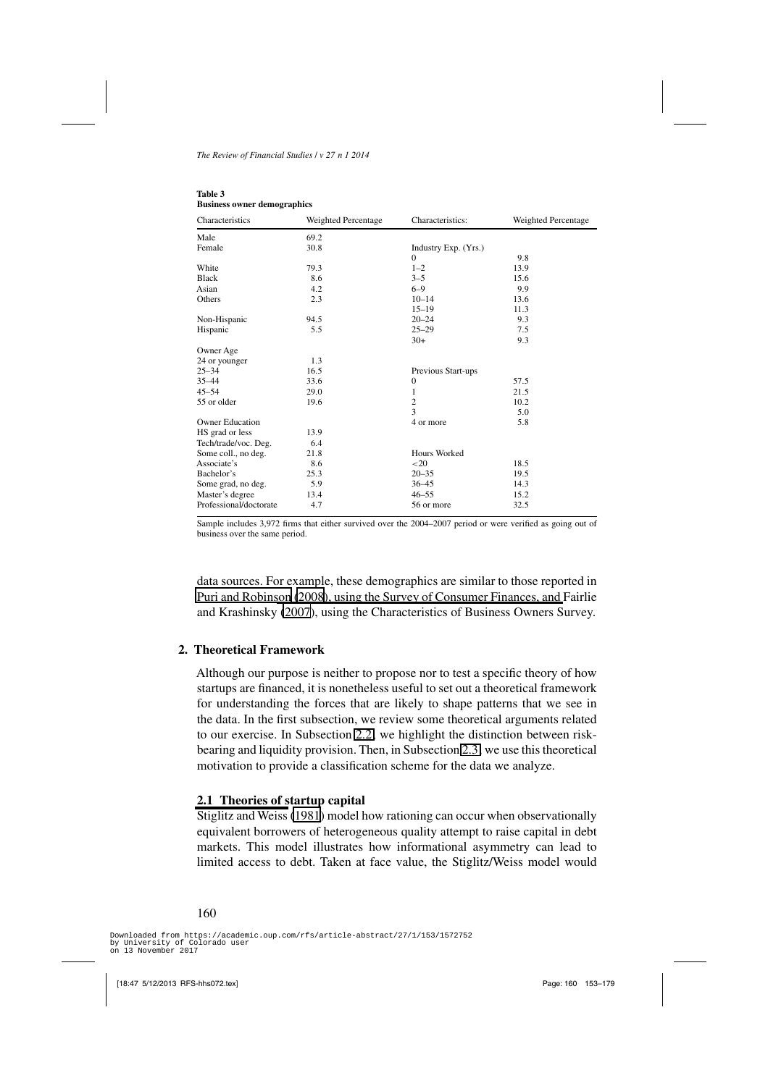| Characteristics        | Weighted Percentage | Characteristics:     | Weighted Percentage |
|------------------------|---------------------|----------------------|---------------------|
| Male                   | 69.2                |                      |                     |
| Female                 | 30.8                | Industry Exp. (Yrs.) |                     |
|                        |                     | $\mathbf{0}$         | 9.8                 |
| White                  | 79.3                | $1 - 2$              | 13.9                |
| Black                  | 8.6                 | $3 - 5$              | 15.6                |
| Asian                  | 4.2                 | $6 - 9$              | 9.9                 |
| Others                 | 2.3                 | $10 - 14$            | 13.6                |
|                        |                     | $15 - 19$            | 11.3                |
| Non-Hispanic           | 94.5                | $20 - 24$            | 9.3                 |
| Hispanic               | 5.5                 | $25 - 29$            | 7.5                 |
|                        |                     | $30+$                | 9.3                 |
| Owner Age              |                     |                      |                     |
| 24 or younger          | 1.3                 |                      |                     |
| $25 - 34$              | 16.5                | Previous Start-ups   |                     |
| $35 - 44$              | 33.6                | $\mathbf{0}$         | 57.5                |
| $45 - 54$              | 29.0                | 1                    | 21.5                |
| 55 or older            | 19.6                | $\overline{2}$       | 10.2                |
|                        |                     | 3                    | 5.0                 |
| <b>Owner Education</b> |                     | 4 or more            | 5.8                 |
| HS grad or less        | 13.9                |                      |                     |
| Tech/trade/voc. Deg.   | 6.4                 |                      |                     |
| Some coll., no deg.    | 21.8                | Hours Worked         |                     |
| Associate's            | 8.6                 | $<$ 20               | 18.5                |
| Bachelor's             | 25.3                | $20 - 35$            | 19.5                |
| Some grad, no deg.     | 5.9                 | $36 - 45$            | 14.3                |
| Master's degree        | 13.4                | $46 - 55$            | 15.2                |
| Professional/doctorate | 4.7                 | 56 or more           | 32.5                |

#### <span id="page-7-0"></span>**Table 3 Business owner demographics**

Sample includes 3,972 firms that either survived over the 2004–2007 period or were verified as going out of business over the same period.

data sources. For example, these demographics are similar to those reported in [Puri and Robinson](#page-26-0)[\(2008](#page-26-0)[\), using the Survey of Consumer Finances, and](#page-25-0) Fairlie and Krashinsky [\(2007](#page-25-0)), using the Characteristics of Business Owners Survey.

# **2. Theoretical Framework**

Although our purpose is neither to propose nor to test a specific theory of how startups are financed, it is nonetheless useful to set out a theoretical framework for understanding the forces that are likely to shape patterns that we see in the data. In the first subsection, we review some theoretical arguments related to our exercise. In Subsection [2.2,](#page-8-0) we highlight the distinction between riskbearing and liquidity provision. Then, in Subsection [2.3,](#page-10-0) we use this theoretical motivation to provide a classification scheme for the data we analyze.

## **[2.1](#page-26-0) [Theories](#page-26-0) [of](#page-26-0) [s](#page-26-0)tartup capital**

Stiglitz and Weiss [\(1981\)](#page-26-0) model how rationing can occur when observationally equivalent borrowers of heterogeneous quality attempt to raise capital in debt markets. This model illustrates how informational asymmetry can lead to limited access to debt. Taken at face value, the Stiglitz/Weiss model would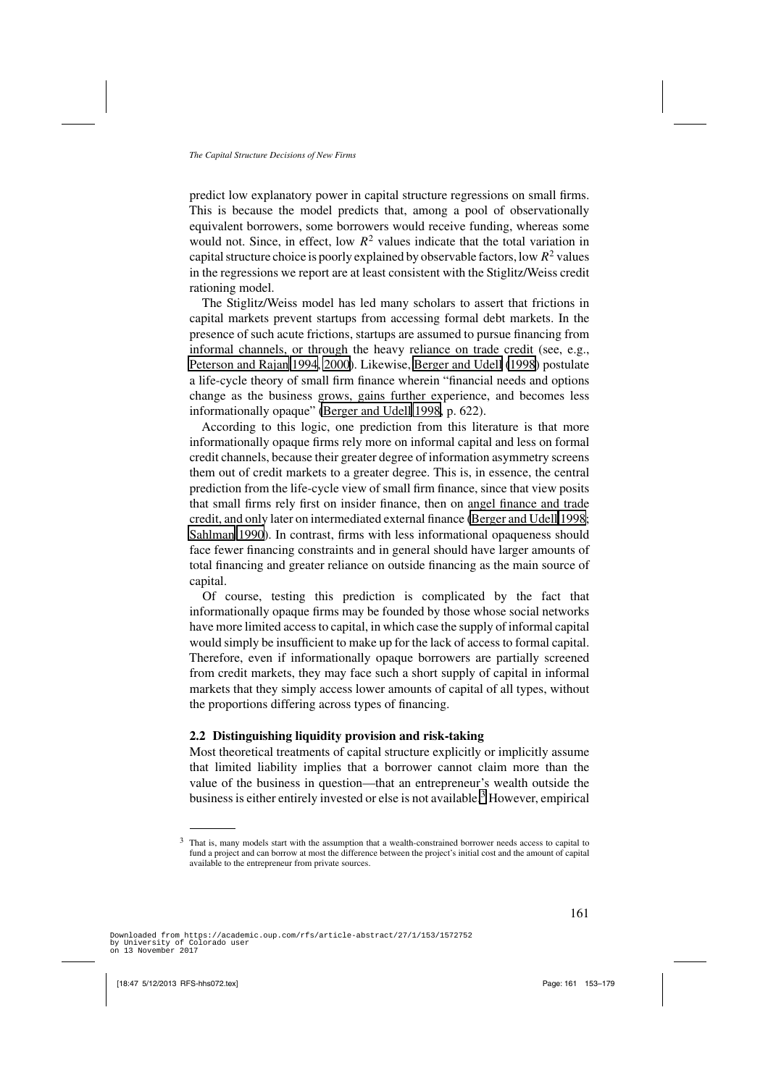<span id="page-8-0"></span>predict low explanatory power in capital structure regressions on small firms. This is because the model predicts that, among a pool of observationally equivalent borrowers, some borrowers would receive funding, whereas some would not. Since, in effect, low  $R^2$  values indicate that the total variation in capital structure choice is poorly explained by observable factors, low  $R^2$  values in the regressions we report are at least consistent with the Stiglitz/Weiss credit rationing model.

The Stiglitz/Weiss model has led many scholars to assert that frictions in capital markets prevent startups from accessing formal debt markets. In the presence of such acute frictions, startups are assumed to pursue financing from informal channels, or through the heavy reliance on trade credit (see, e.g., [Peterson and Rajan 1994, 2000\)](#page-26-0). Likewise, [Berger and Udell](#page-25-0) [\(1998\)](#page-25-0) postulate a life-cycle theory of small firm finance wherein "financial needs and options change as the business grows, gains further experience, and becomes less informationally opaque" [\(Berger and Udell 1998,](#page-25-0) p. 622).

According to this logic, one prediction from this literature is that more informationally opaque firms rely more on informal capital and less on formal credit channels, because their greater degree of information asymmetry screens them out of credit markets to a greater degree. This is, in essence, the central prediction from the life-cycle view of small firm finance, since that view posits that small firms rely first on insider finance, then on angel finance and trade credit, and only later on intermediated external finance [\(Berger and Udell 1998;](#page-25-0) [Sahlman 1990](#page-26-0)). In contrast, firms with less informational opaqueness should face fewer financing constraints and in general should have larger amounts of total financing and greater reliance on outside financing as the main source of capital.

Of course, testing this prediction is complicated by the fact that informationally opaque firms may be founded by those whose social networks have more limited access to capital, in which case the supply of informal capital would simply be insufficient to make up for the lack of access to formal capital. Therefore, even if informationally opaque borrowers are partially screened from credit markets, they may face such a short supply of capital in informal markets that they simply access lower amounts of capital of all types, without the proportions differing across types of financing.

# **2.2 Distinguishing liquidity provision and risk-taking**

Most theoretical treatments of capital structure explicitly or implicitly assume that limited liability implies that a borrower cannot claim more than the value of the business in question—that an entrepreneur's wealth outside the business is either entirely invested or else is not available.<sup>3</sup> However, empirical

<sup>3</sup> That is, many models start with the assumption that a wealth-constrained borrower needs access to capital to fund a project and can borrow at most the difference between the project's initial cost and the amount of capital available to the entrepreneur from private sources.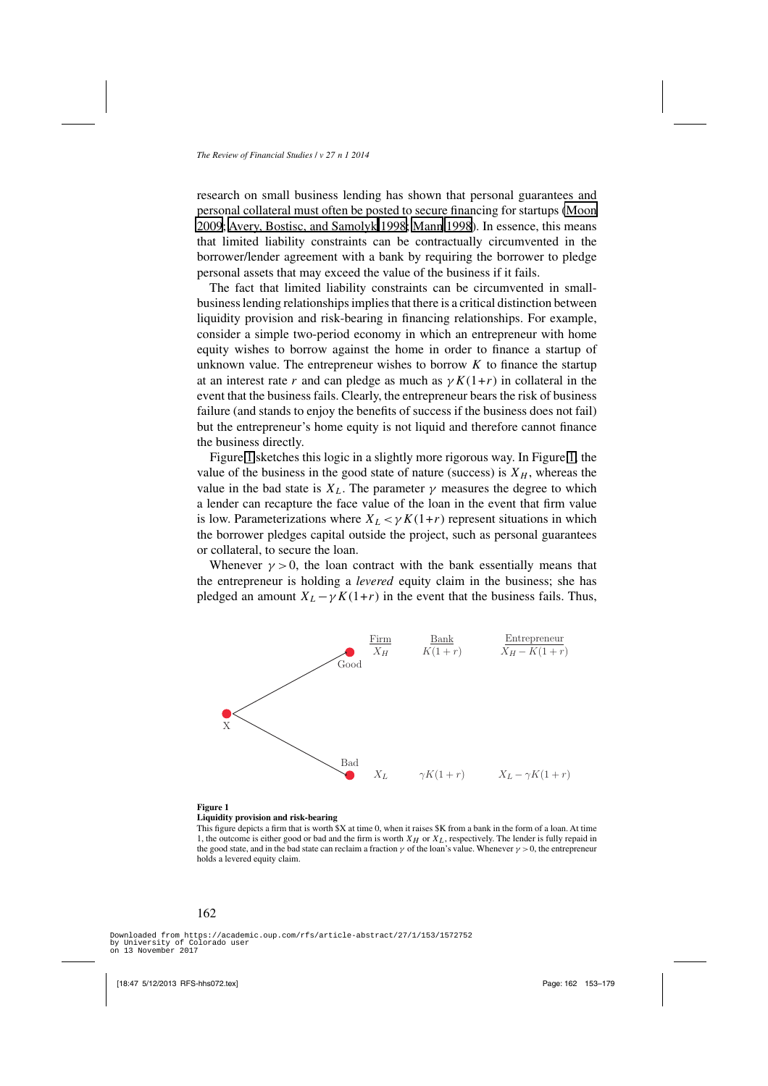research on small business lending has shown that personal guarantees and personal collateral must often be posted to secure financing for startups [\(Moon](#page-25-0) [2009](#page-25-0); [Avery, Bostisc, and Samolyk 1998](#page-25-0); [Mann 1998](#page-25-0)). In essence, this means that limited liability constraints can be contractually circumvented in the borrower/lender agreement with a bank by requiring the borrower to pledge personal assets that may exceed the value of the business if it fails.

The fact that limited liability constraints can be circumvented in smallbusiness lending relationships implies that there is a critical distinction between liquidity provision and risk-bearing in financing relationships. For example, consider a simple two-period economy in which an entrepreneur with home equity wishes to borrow against the home in order to finance a startup of unknown value. The entrepreneur wishes to borrow  $K$  to finance the startup at an interest rate r and can pledge as much as  $\gamma K(1+r)$  in collateral in the event that the business fails. Clearly, the entrepreneur bears the risk of business failure (and stands to enjoy the benefits of success if the business does not fail) but the entrepreneur's home equity is not liquid and therefore cannot finance the business directly.

Figure 1 sketches this logic in a slightly more rigorous way. In Figure 1, the value of the business in the good state of nature (success) is  $X_H$ , whereas the value in the bad state is  $X_L$ . The parameter  $\gamma$  measures the degree to which a lender can recapture the face value of the loan in the event that firm value is low. Parameterizations where  $X_L < \gamma K(1+r)$  represent situations in which the borrower pledges capital outside the project, such as personal guarantees or collateral, to secure the loan.

Whenever  $\gamma > 0$ , the loan contract with the bank essentially means that the entrepreneur is holding a *levered* equity claim in the business; she has pledged an amount  $X_L - \gamma K(1+r)$  in the event that the business fails. Thus,



#### **Figure 1 Liquidity provision and risk-bearing**

This figure depicts a firm that is worth \$X at time 0, when it raises \$K from a bank in the form of a loan. At time 1, the outcome is either good or bad and the firm is worth  $X_H$  or  $X_L$ , respectively. The lender is fully repaid in the good state, and in the bad state can reclaim a fraction  $\gamma$  of the loan's value. Whenever  $\gamma > 0$ , the entrepreneur holds a levered equity claim.

## 162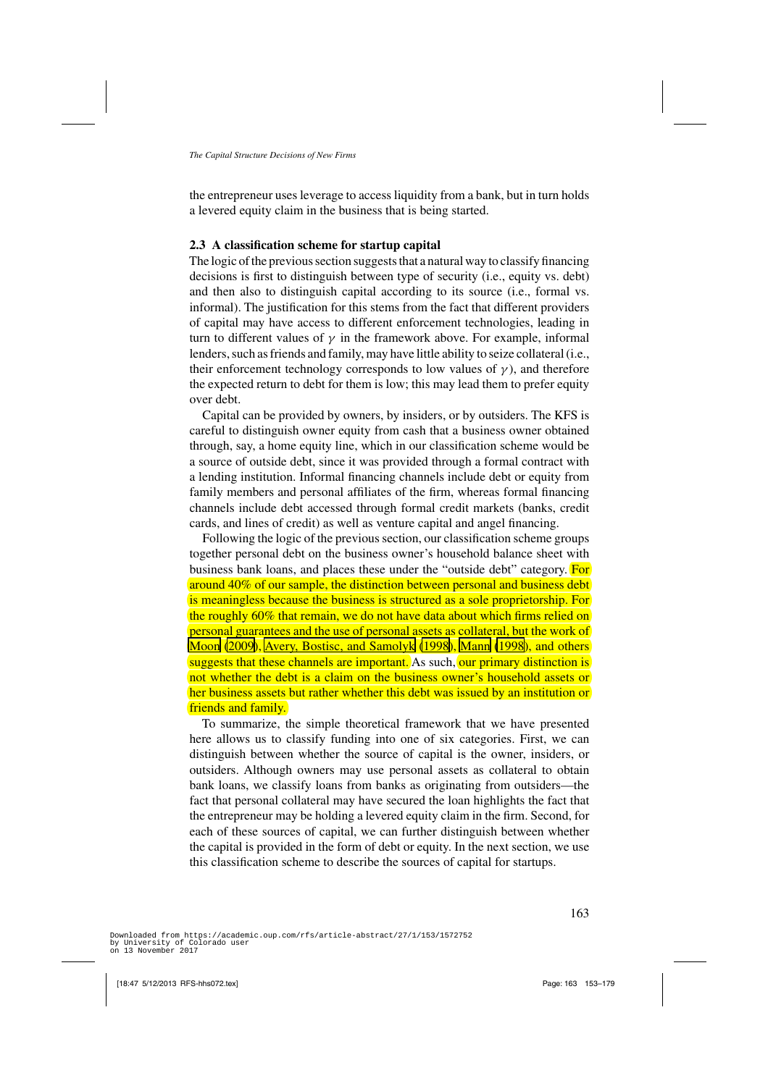<span id="page-10-0"></span>the entrepreneur uses leverage to access liquidity from a bank, but in turn holds a levered equity claim in the business that is being started.

## **2.3 A classification scheme for startup capital**

The logic of the previous section suggests that a natural way to classify financing decisions is first to distinguish between type of security (i.e., equity vs. debt) and then also to distinguish capital according to its source (i.e., formal vs. informal). The justification for this stems from the fact that different providers of capital may have access to different enforcement technologies, leading in turn to different values of  $\gamma$  in the framework above. For example, informal lenders, such as friends and family, may have little ability to seize collateral (i.e., their enforcement technology corresponds to low values of  $\gamma$ ), and therefore the expected return to debt for them is low; this may lead them to prefer equity over debt.

Capital can be provided by owners, by insiders, or by outsiders. The KFS is careful to distinguish owner equity from cash that a business owner obtained through, say, a home equity line, which in our classification scheme would be a source of outside debt, since it was provided through a formal contract with a lending institution. Informal financing channels include debt or equity from family members and personal affiliates of the firm, whereas formal financing channels include debt accessed through formal credit markets (banks, credit cards, and lines of credit) as well as venture capital and angel financing.

Following the logic of the previous section, our classification scheme groups together personal debt on the business owner's household balance sheet with business bank loans, and places these under the "outside debt" category. For around 40% of our sample, the distinction between personal and business debt is meaningless because the business is structured as a sole proprietorship. For the roughly 60% that remain, we do not have data about which firms relied on personal guarantees and the use of personal assets as collateral, but the work of [Moon](#page-25-0) [\(2009\)](#page-25-0), [Avery, Bostisc, and Samolyk](#page-25-0) [\(1998\)](#page-25-0), [Mann](#page-25-0) [\(1998\)](#page-25-0), and others suggests that these channels are important. As such, our primary distinction is not whether the debt is a claim on the business owner's household assets or her business assets but rather whether this debt was issued by an institution or friends and family.

To summarize, the simple theoretical framework that we have presented here allows us to classify funding into one of six categories. First, we can distinguish between whether the source of capital is the owner, insiders, or outsiders. Although owners may use personal assets as collateral to obtain bank loans, we classify loans from banks as originating from outsiders—the fact that personal collateral may have secured the loan highlights the fact that the entrepreneur may be holding a levered equity claim in the firm. Second, for each of these sources of capital, we can further distinguish between whether the capital is provided in the form of debt or equity. In the next section, we use this classification scheme to describe the sources of capital for startups.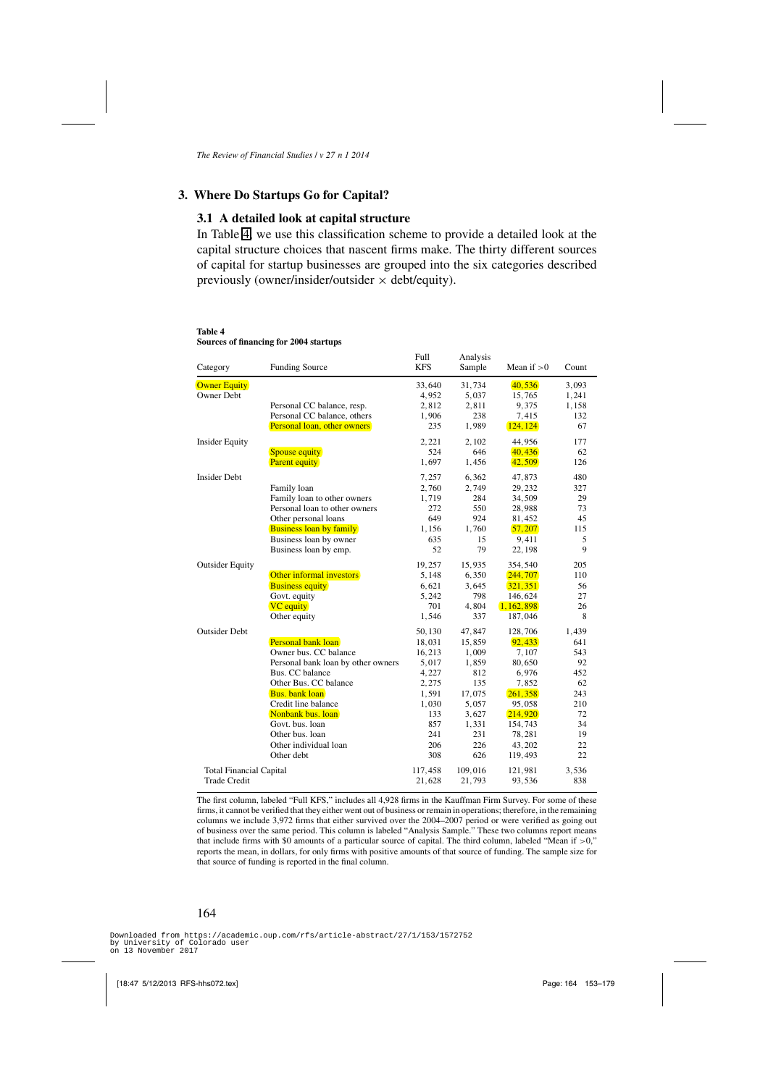## <span id="page-11-0"></span>**3. Where Do Startups Go for Capital?**

## **3.1 A detailed look at capital structure**

In Table 4, we use this classification scheme to provide a detailed look at the capital structure choices that nascent firms make. The thirty different sources of capital for startup businesses are grouped into the six categories described previously (owner/insider/outsider  $\times$  debt/equity).

#### **Table 4 Sources of financing for 2004 startups**

| Category                       | <b>Funding Source</b>              | Full<br><b>KFS</b> | Analysis<br>Sample | Mean if $>0$ | Count |
|--------------------------------|------------------------------------|--------------------|--------------------|--------------|-------|
| <b>Owner Equity</b>            |                                    | 33,640             | 31,734             | 40,536       | 3,093 |
| <b>Owner Debt</b>              |                                    | 4,952              | 5,037              | 15,765       | 1,241 |
|                                | Personal CC balance, resp.         | 2,812              | 2,811              | 9,375        | 1,158 |
|                                | Personal CC balance, others        | 1,906              | 238                | 7,415        | 132   |
|                                | Personal loan, other owners        | 235                | 1,989              | 124, 124     | 67    |
| <b>Insider Equity</b>          |                                    | 2.221              | 2,102              | 44.956       | 177   |
|                                | <b>Spouse equity</b>               | 524                | 646                | 40,436       | 62    |
|                                | <b>Parent equity</b>               | 1,697              | 1,456              | 42,509       | 126   |
| <b>Insider Debt</b>            |                                    | 7,257              | 6,362              | 47,873       | 480   |
|                                | Family loan                        | 2,760              | 2,749              | 29,232       | 327   |
|                                | Family loan to other owners        | 1,719              | 284                | 34,509       | 29    |
|                                | Personal loan to other owners      | 272                | 550                | 28,988       | 73    |
|                                | Other personal loans               | 649                | 924                | 81,452       | 45    |
|                                | <b>Business loan by family</b>     | 1,156              | 1,760              | 57,207       | 115   |
|                                | Business loan by owner             | 635                | 15                 | 9,411        | 5     |
|                                | Business loan by emp.              | 52                 | 79                 | 22,198       | 9     |
| <b>Outsider Equity</b>         |                                    | 19,257             | 15,935             | 354,540      | 205   |
|                                | Other informal investors           | 5,148              | 6,350              | 244,707      | 110   |
|                                | <b>Business equity</b>             | 6,621              | 3,645              | 321,351      | 56    |
|                                | Govt. equity                       | 5,242              | 798                | 146,624      | 27    |
|                                | <b>VC</b> equity                   | 701                | 4,804              | 1,162,898    | 26    |
|                                | Other equity                       | 1,546              | 337                | 187,046      | 8     |
| <b>Outsider Debt</b>           |                                    | 50,130             | 47,847             | 128,706      | 1,439 |
|                                | Personal bank loan                 | 18,031             | 15,859             | 92,433       | 641   |
|                                | Owner bus. CC balance              | 16,213             | 1,009              | 7,107        | 543   |
|                                | Personal bank loan by other owners | 5,017              | 1,859              | 80,650       | 92    |
|                                | Bus. CC balance                    | 4,227              | 812                | 6,976        | 452   |
|                                | Other Bus. CC balance              | 2,275              | 135                | 7,852        | 62    |
|                                | Bus, bank loan                     | 1,591              | 17,075             | 261,358      | 243   |
|                                | Credit line balance                | 1,030              | 5,057              | 95,058       | 210   |
|                                | Nonbank bus. loan                  | 133                | 3,627              | 214,920      | 72    |
|                                | Govt. bus. loan                    | 857                | 1,331              | 154,743      | 34    |
|                                | Other bus. loan                    | 241                | 231                | 78,281       | 19    |
|                                | Other individual loan              | 206                | 226                | 43,202       | 22    |
|                                | Other debt                         | 308                | 626                | 119,493      | 22    |
| <b>Total Financial Capital</b> |                                    | 117,458            | 109,016            | 121,981      | 3,536 |
| <b>Trade Credit</b>            |                                    | 21,628             | 21,793             | 93,536       | 838   |

The first column, labeled "Full KFS," includes all 4,928 firms in the Kauffman Firm Survey. For some of these firms, it cannot be verified that they either went out of business or remain in operations; therefore, in the remaining columns we include 3,972 firms that either survived over the 2004–2007 period or were verified as going out of business over the same period. This column is labeled "Analysis Sample." These two columns report means that include firms with \$0 amounts of a particular source of capital. The third column, labeled "Mean if >0," reports the mean, in dollars, for only firms with positive amounts of that source of funding. The sample size for that source of funding is reported in the final column.

## 164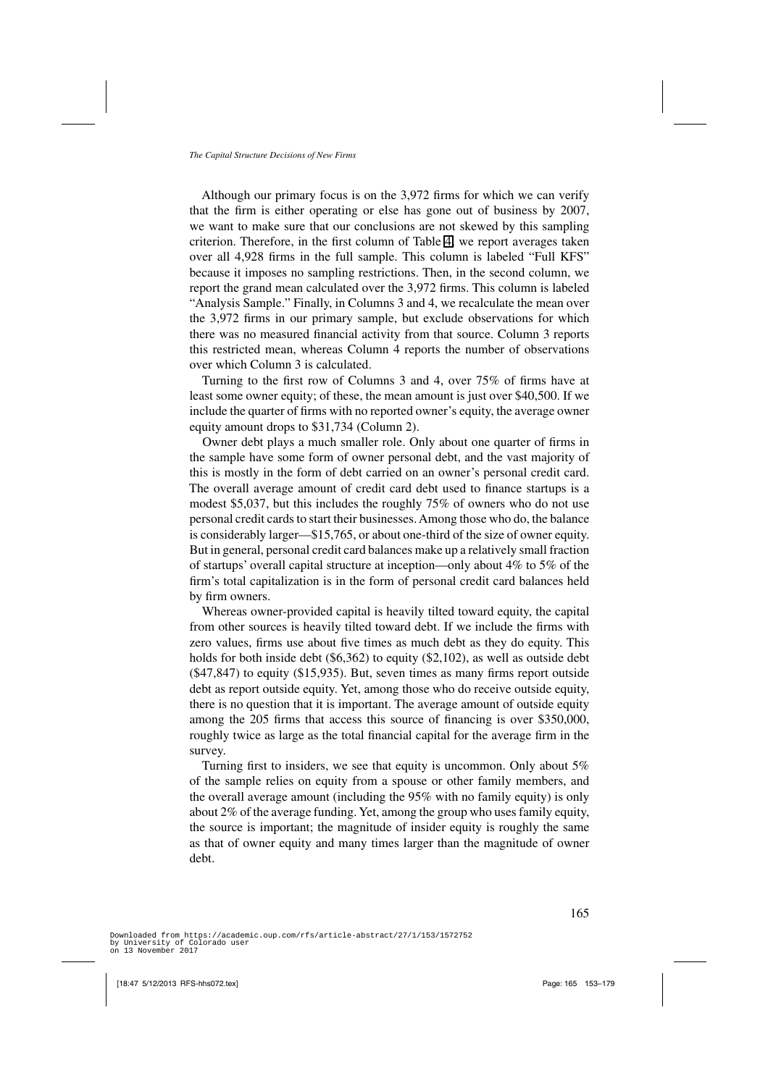Although our primary focus is on the 3,972 firms for which we can verify that the firm is either operating or else has gone out of business by 2007, we want to make sure that our conclusions are not skewed by this sampling criterion. Therefore, in the first column of Table [4,](#page-11-0) we report averages taken over all 4,928 firms in the full sample. This column is labeled "Full KFS" because it imposes no sampling restrictions. Then, in the second column, we report the grand mean calculated over the 3,972 firms. This column is labeled "Analysis Sample." Finally, in Columns 3 and 4, we recalculate the mean over the 3,972 firms in our primary sample, but exclude observations for which there was no measured financial activity from that source. Column 3 reports this restricted mean, whereas Column 4 reports the number of observations over which Column 3 is calculated.

Turning to the first row of Columns 3 and 4, over 75% of firms have at least some owner equity; of these, the mean amount is just over \$40,500. If we include the quarter of firms with no reported owner's equity, the average owner equity amount drops to \$31,734 (Column 2).

Owner debt plays a much smaller role. Only about one quarter of firms in the sample have some form of owner personal debt, and the vast majority of this is mostly in the form of debt carried on an owner's personal credit card. The overall average amount of credit card debt used to finance startups is a modest \$5,037, but this includes the roughly 75% of owners who do not use personal credit cards to start their businesses. Among those who do, the balance is considerably larger—\$15,765, or about one-third of the size of owner equity. But in general, personal credit card balances make up a relatively small fraction of startups' overall capital structure at inception—only about 4% to 5% of the firm's total capitalization is in the form of personal credit card balances held by firm owners.

Whereas owner-provided capital is heavily tilted toward equity, the capital from other sources is heavily tilted toward debt. If we include the firms with zero values, firms use about five times as much debt as they do equity. This holds for both inside debt (\$6,362) to equity (\$2,102), as well as outside debt (\$47,847) to equity (\$15,935). But, seven times as many firms report outside debt as report outside equity. Yet, among those who do receive outside equity, there is no question that it is important. The average amount of outside equity among the 205 firms that access this source of financing is over \$350,000, roughly twice as large as the total financial capital for the average firm in the survey.

Turning first to insiders, we see that equity is uncommon. Only about 5% of the sample relies on equity from a spouse or other family members, and the overall average amount (including the 95% with no family equity) is only about 2% of the average funding. Yet, among the group who uses family equity, the source is important; the magnitude of insider equity is roughly the same as that of owner equity and many times larger than the magnitude of owner debt.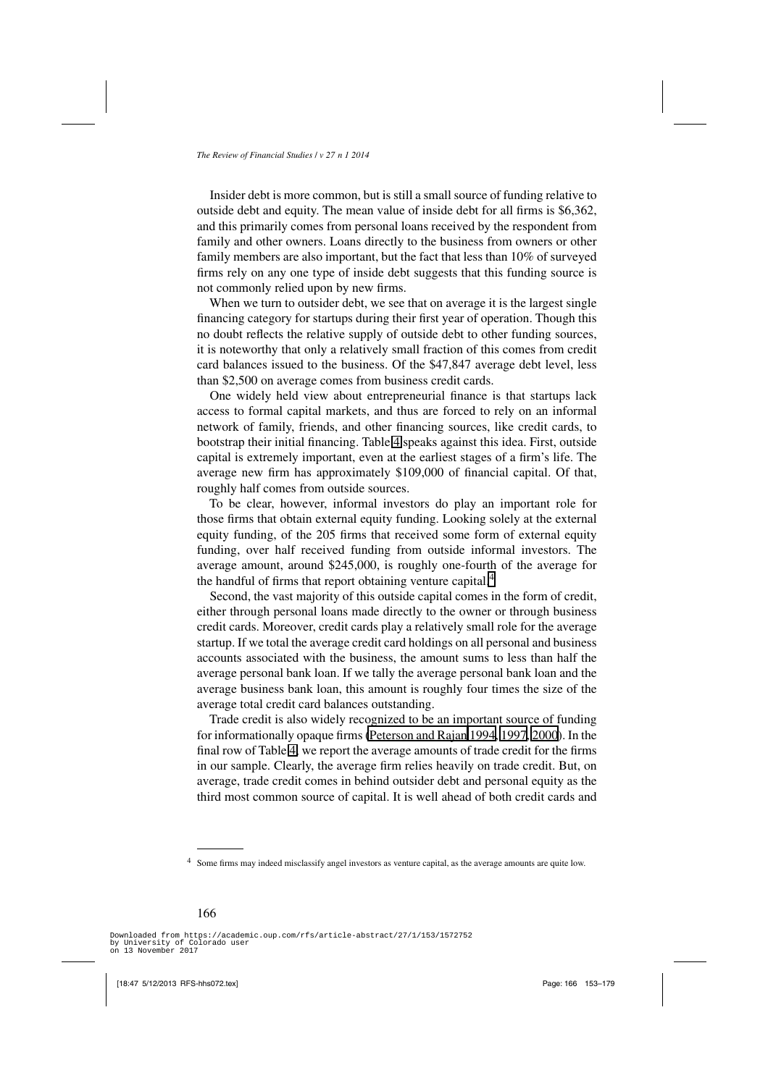Insider debt is more common, but is still a small source of funding relative to outside debt and equity. The mean value of inside debt for all firms is \$6,362, and this primarily comes from personal loans received by the respondent from family and other owners. Loans directly to the business from owners or other family members are also important, but the fact that less than 10% of surveyed firms rely on any one type of inside debt suggests that this funding source is not commonly relied upon by new firms.

When we turn to outsider debt, we see that on average it is the largest single financing category for startups during their first year of operation. Though this no doubt reflects the relative supply of outside debt to other funding sources, it is noteworthy that only a relatively small fraction of this comes from credit card balances issued to the business. Of the \$47,847 average debt level, less than \$2,500 on average comes from business credit cards.

One widely held view about entrepreneurial finance is that startups lack access to formal capital markets, and thus are forced to rely on an informal network of family, friends, and other financing sources, like credit cards, to bootstrap their initial financing. Table [4](#page-11-0) speaks against this idea. First, outside capital is extremely important, even at the earliest stages of a firm's life. The average new firm has approximately \$109,000 of financial capital. Of that, roughly half comes from outside sources.

To be clear, however, informal investors do play an important role for those firms that obtain external equity funding. Looking solely at the external equity funding, of the 205 firms that received some form of external equity funding, over half received funding from outside informal investors. The average amount, around \$245,000, is roughly one-fourth of the average for the handful of firms that report obtaining venture capital.<sup>4</sup>

Second, the vast majority of this outside capital comes in the form of credit, either through personal loans made directly to the owner or through business credit cards. Moreover, credit cards play a relatively small role for the average startup. If we total the average credit card holdings on all personal and business accounts associated with the business, the amount sums to less than half the average personal bank loan. If we tally the average personal bank loan and the average business bank loan, this amount is roughly four times the size of the average total credit card balances outstanding.

Trade credit is also widely recognized to be an important source of funding for informationally opaque firms [\(Peterson and Rajan 1994, 1997, 2000](#page-26-0)). In the final row of Table [4,](#page-11-0) we report the average amounts of trade credit for the firms in our sample. Clearly, the average firm relies heavily on trade credit. But, on average, trade credit comes in behind outsider debt and personal equity as the third most common source of capital. It is well ahead of both credit cards and

<sup>4</sup> Some firms may indeed misclassify angel investors as venture capital, as the average amounts are quite low.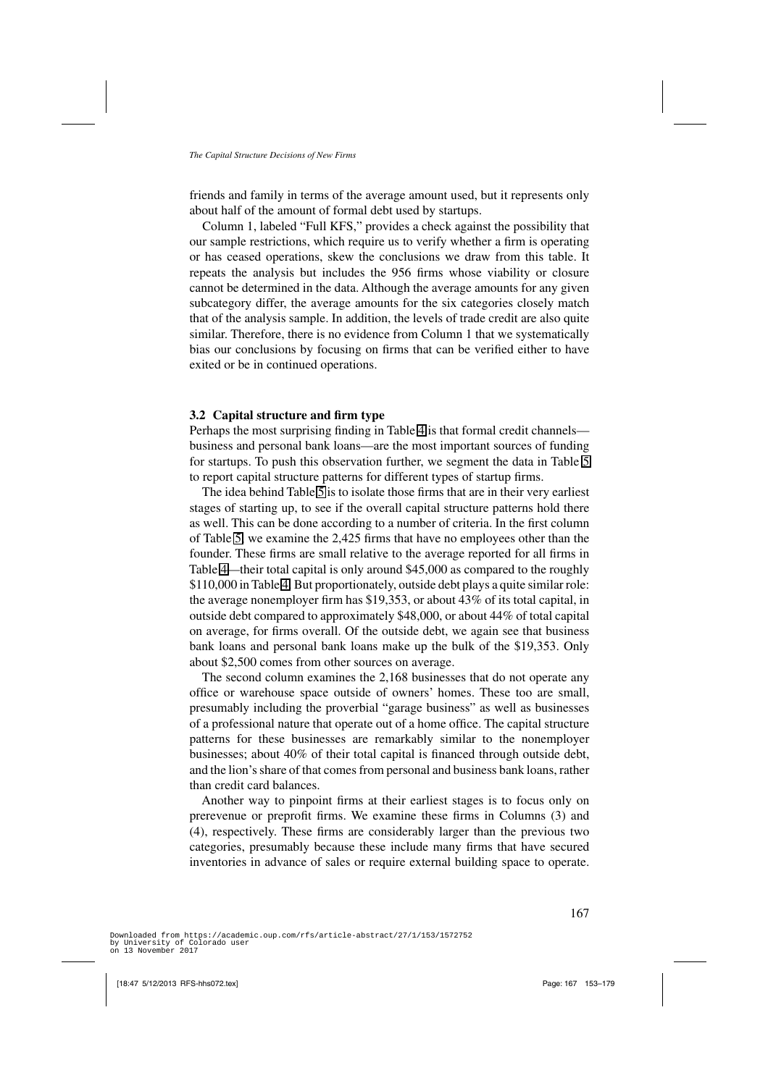friends and family in terms of the average amount used, but it represents only about half of the amount of formal debt used by startups.

Column 1, labeled "Full KFS," provides a check against the possibility that our sample restrictions, which require us to verify whether a firm is operating or has ceased operations, skew the conclusions we draw from this table. It repeats the analysis but includes the 956 firms whose viability or closure cannot be determined in the data. Although the average amounts for any given subcategory differ, the average amounts for the six categories closely match that of the analysis sample. In addition, the levels of trade credit are also quite similar. Therefore, there is no evidence from Column 1 that we systematically bias our conclusions by focusing on firms that can be verified either to have exited or be in continued operations.

## **3.2 Capital structure and firm type**

Perhaps the most surprising finding in Table [4](#page-11-0) is that formal credit channels business and personal bank loans—are the most important sources of funding for startups. To push this observation further, we segment the data in Table [5](#page-15-0) to report capital structure patterns for different types of startup firms.

The idea behind Table [5](#page-15-0) is to isolate those firms that are in their very earliest stages of starting up, to see if the overall capital structure patterns hold there as well. This can be done according to a number of criteria. In the first column of Table [5,](#page-15-0) we examine the 2,425 firms that have no employees other than the founder. These firms are small relative to the average reported for all firms in Table [4—](#page-11-0)their total capital is only around \$45,000 as compared to the roughly \$110,000 in Table [4.](#page-11-0) But proportionately, outside debt plays a quite similar role: the average nonemployer firm has \$19,353, or about 43% of its total capital, in outside debt compared to approximately \$48,000, or about 44% of total capital on average, for firms overall. Of the outside debt, we again see that business bank loans and personal bank loans make up the bulk of the \$19,353. Only about \$2,500 comes from other sources on average.

The second column examines the 2,168 businesses that do not operate any office or warehouse space outside of owners' homes. These too are small, presumably including the proverbial "garage business" as well as businesses of a professional nature that operate out of a home office. The capital structure patterns for these businesses are remarkably similar to the nonemployer businesses; about 40% of their total capital is financed through outside debt, and the lion's share of that comes from personal and business bank loans, rather than credit card balances.

Another way to pinpoint firms at their earliest stages is to focus only on prerevenue or preprofit firms. We examine these firms in Columns (3) and (4), respectively. These firms are considerably larger than the previous two categories, presumably because these include many firms that have secured inventories in advance of sales or require external building space to operate.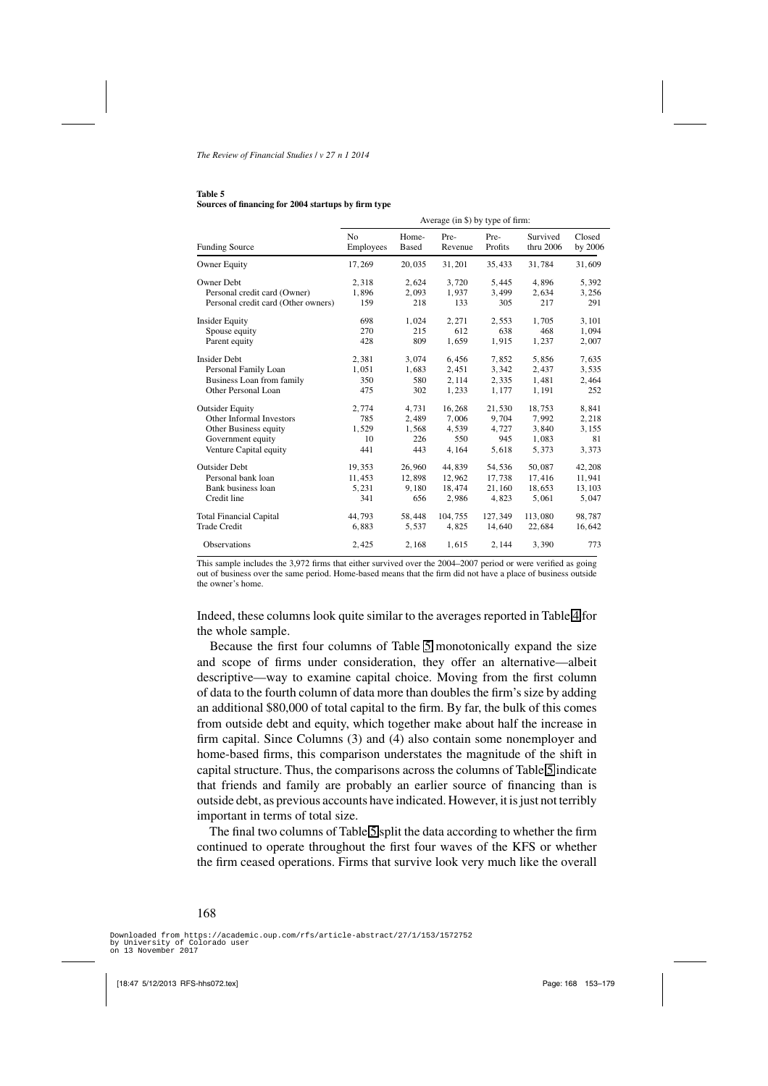|                                     | Average (in \$) by type of firm: |                |                 |                 |                       |                   |
|-------------------------------------|----------------------------------|----------------|-----------------|-----------------|-----------------------|-------------------|
| <b>Funding Source</b>               | N <sub>0</sub><br>Employees      | Home-<br>Based | Pre-<br>Revenue | Pre-<br>Profits | Survived<br>thru 2006 | Closed<br>by 2006 |
| <b>Owner Equity</b>                 | 17,269                           | 20,035         | 31,201          | 35,433          | 31.784                | 31,609            |
| Owner Debt                          | 2,318                            | 2,624          | 3,720           | 5,445           | 4,896                 | 5,392             |
| Personal credit card (Owner)        | 1,896                            | 2,093          | 1,937           | 3,499           | 2,634                 | 3,256             |
| Personal credit card (Other owners) | 159                              | 218            | 133             | 305             | 217                   | 291               |
| <b>Insider Equity</b>               | 698                              | 1,024          | 2,271           | 2,553           | 1,705                 | 3,101             |
| Spouse equity                       | 270                              | 215            | 612             | 638             | 468                   | 1,094             |
| Parent equity                       | 428                              | 809            | 1,659           | 1,915           | 1,237                 | 2,007             |
| <b>Insider Debt</b>                 | 2,381                            | 3,074          | 6,456           | 7,852           | 5,856                 | 7,635             |
| Personal Family Loan                | 1,051                            | 1,683          | 2,451           | 3,342           | 2,437                 | 3,535             |
| <b>Business Loan from family</b>    | 350                              | 580            | 2,114           | 2,335           | 1,481                 | 2,464             |
| Other Personal Loan                 | 475                              | 302            | 1,233           | 1,177           | 1,191                 | 252               |
| <b>Outsider Equity</b>              | 2,774                            | 4,731          | 16,268          | 21,530          | 18,753                | 8,841             |
| Other Informal Investors            | 785                              | 2,489          | 7,006           | 9,704           | 7,992                 | 2,218             |
| Other Business equity               | 1,529                            | 1,568          | 4,539           | 4,727           | 3,840                 | 3,155             |
| Government equity                   | 10                               | 226            | 550             | 945             | 1,083                 | 81                |
| Venture Capital equity              | 441                              | 443            | 4,164           | 5,618           | 5,373                 | 3,373             |
| <b>Outsider Debt</b>                | 19,353                           | 26,960         | 44,839          | 54,536          | 50,087                | 42,208            |
| Personal bank loan                  | 11,453                           | 12,898         | 12,962          | 17,738          | 17,416                | 11,941            |
| Bank business loan                  | 5,231                            | 9,180          | 18,474          | 21,160          | 18,653                | 13, 103           |
| Credit line                         | 341                              | 656            | 2,986           | 4,823           | 5,061                 | 5,047             |
| <b>Total Financial Capital</b>      | 44,793                           | 58,448         | 104,755         | 127,349         | 113,080               | 98,787            |
| <b>Trade Credit</b>                 | 6,883                            | 5,537          | 4,825           | 14,640          | 22,684                | 16,642            |
| <b>Observations</b>                 | 2,425                            | 2,168          | 1,615           | 2,144           | 3,390                 | 773               |

#### <span id="page-15-0"></span>**Table 5 Sources of financing for 2004 startups by firm type**

This sample includes the 3,972 firms that either survived over the 2004–2007 period or were verified as going out of business over the same period. Home-based means that the firm did not have a place of business outside the owner's home.

Indeed, these columns look quite similar to the averages reported in Table [4](#page-11-0) for the whole sample.

Because the first four columns of Table 5 monotonically expand the size and scope of firms under consideration, they offer an alternative—albeit descriptive—way to examine capital choice. Moving from the first column of data to the fourth column of data more than doubles the firm's size by adding an additional \$80,000 of total capital to the firm. By far, the bulk of this comes from outside debt and equity, which together make about half the increase in firm capital. Since Columns (3) and (4) also contain some nonemployer and home-based firms, this comparison understates the magnitude of the shift in capital structure. Thus, the comparisons across the columns of Table 5 indicate that friends and family are probably an earlier source of financing than is outside debt, as previous accounts have indicated. However, it is just not terribly important in terms of total size.

The final two columns of Table 5 split the data according to whether the firm continued to operate throughout the first four waves of the KFS or whether the firm ceased operations. Firms that survive look very much like the overall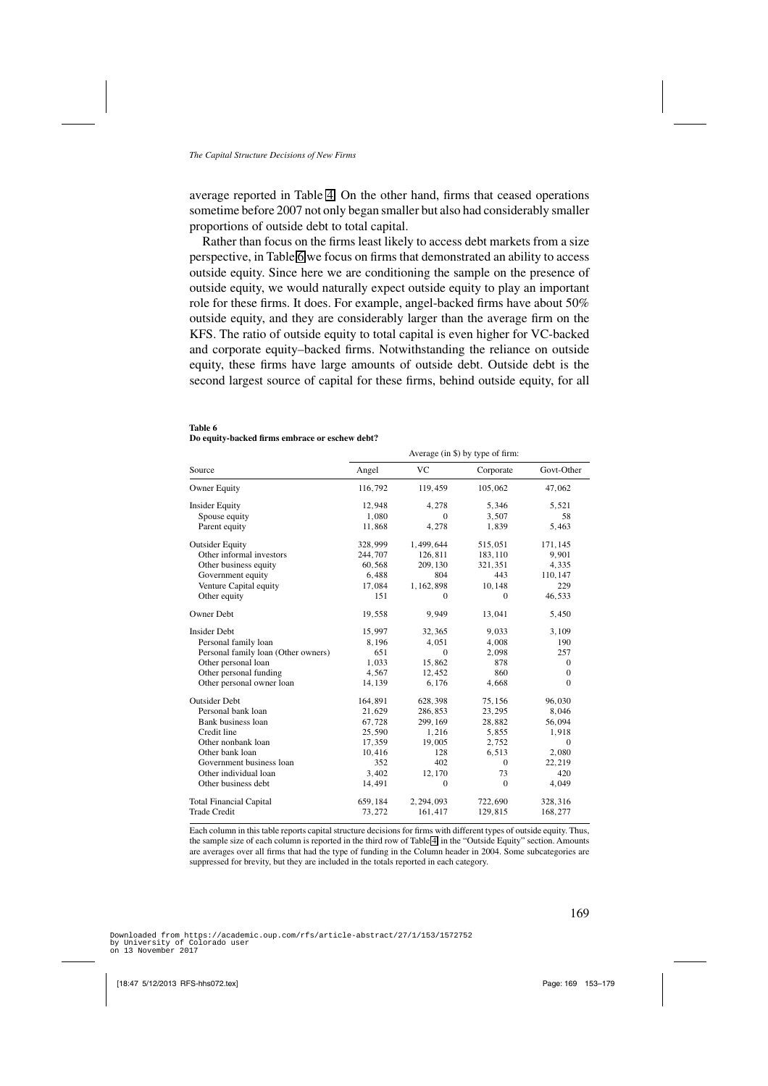average reported in Table [4.](#page-11-0) On the other hand, firms that ceased operations sometime before 2007 not only began smaller but also had considerably smaller proportions of outside debt to total capital.

Rather than focus on the firms least likely to access debt markets from a size perspective, in Table 6 we focus on firms that demonstrated an ability to access outside equity. Since here we are conditioning the sample on the presence of outside equity, we would naturally expect outside equity to play an important role for these firms. It does. For example, angel-backed firms have about 50% outside equity, and they are considerably larger than the average firm on the KFS. The ratio of outside equity to total capital is even higher for VC-backed and corporate equity–backed firms. Notwithstanding the reliance on outside equity, these firms have large amounts of outside debt. Outside debt is the second largest source of capital for these firms, behind outside equity, for all

|                                     |         |              | Average (in \$) by type of firm: |              |
|-------------------------------------|---------|--------------|----------------------------------|--------------|
| Source                              | Angel   | <b>VC</b>    | Corporate                        | Govt-Other   |
| <b>Owner Equity</b>                 | 116,792 | 119,459      | 105,062                          | 47,062       |
| <b>Insider Equity</b>               | 12,948  | 4,278        | 5,346                            | 5,521        |
| Spouse equity                       | 1,080   | $\mathbf{0}$ | 3,507                            | 58           |
| Parent equity                       | 11,868  | 4,278        | 1,839                            | 5,463        |
| <b>Outsider Equity</b>              | 328,999 | 1,499,644    | 515,051                          | 171, 145     |
| Other informal investors            | 244,707 | 126,811      | 183, 110                         | 9,901        |
| Other business equity               | 60,568  | 209,130      | 321,351                          | 4,335        |
| Government equity                   | 6,488   | 804          | 443                              | 110, 147     |
| Venture Capital equity              | 17,084  | 1,162,898    | 10,148                           | 229          |
| Other equity                        | 151     | $\mathbf{0}$ | $\mathbf{0}$                     | 46,533       |
| Owner Debt                          | 19,558  | 9,949        | 13,041                           | 5,450        |
| <b>Insider Debt</b>                 | 15,997  | 32,365       | 9,033                            | 3,109        |
| Personal family loan                | 8,196   | 4,051        | 4,008                            | 190          |
| Personal family loan (Other owners) | 651     | $\Omega$     | 2,098                            | 257          |
| Other personal loan                 | 1,033   | 15,862       | 878                              | $\mathbf{0}$ |
| Other personal funding              | 4,567   | 12,452       | 860                              | $\mathbf{0}$ |
| Other personal owner loan           | 14, 139 | 6,176        | 4,668                            | $\mathbf{0}$ |
| <b>Outsider Debt</b>                | 164,891 | 628,398      | 75,156                           | 96,030       |
| Personal bank loan                  | 21,629  | 286,853      | 23, 295                          | 8,046        |
| Bank business loan                  | 67,728  | 299, 169     | 28,882                           | 56,094       |
| Credit line                         | 25,590  | 1,216        | 5,855                            | 1,918        |
| Other nonbank loan                  | 17,359  | 19,005       | 2,752                            | $\mathbf{0}$ |
| Other bank loan                     | 10,416  | 128          | 6,513                            | 2,080        |
| Government business loan            | 352     | 402          | $\mathbf{0}$                     | 22,219       |
| Other individual loan               | 3,402   | 12,170       | 73                               | 420          |
| Other business debt                 | 14,491  | $\mathbf{0}$ | $\Omega$                         | 4,049        |
| <b>Total Financial Capital</b>      | 659,184 | 2, 294, 093  | 722,690                          | 328,316      |
| <b>Trade Credit</b>                 | 73,272  | 161,417      | 129,815                          | 168,277      |

#### **Table 6 Do equity-backed firms embrace or eschew debt?**

Each column in this table reports capital structure decisions for firms with different types of outside equity. Thus, the sample size of each column is reported in the third row of Table [4,](#page-11-0) in the "Outside Equity" section. Amounts are averages over all firms that had the type of funding in the Column header in 2004. Some subcategories are suppressed for brevity, but they are included in the totals reported in each category.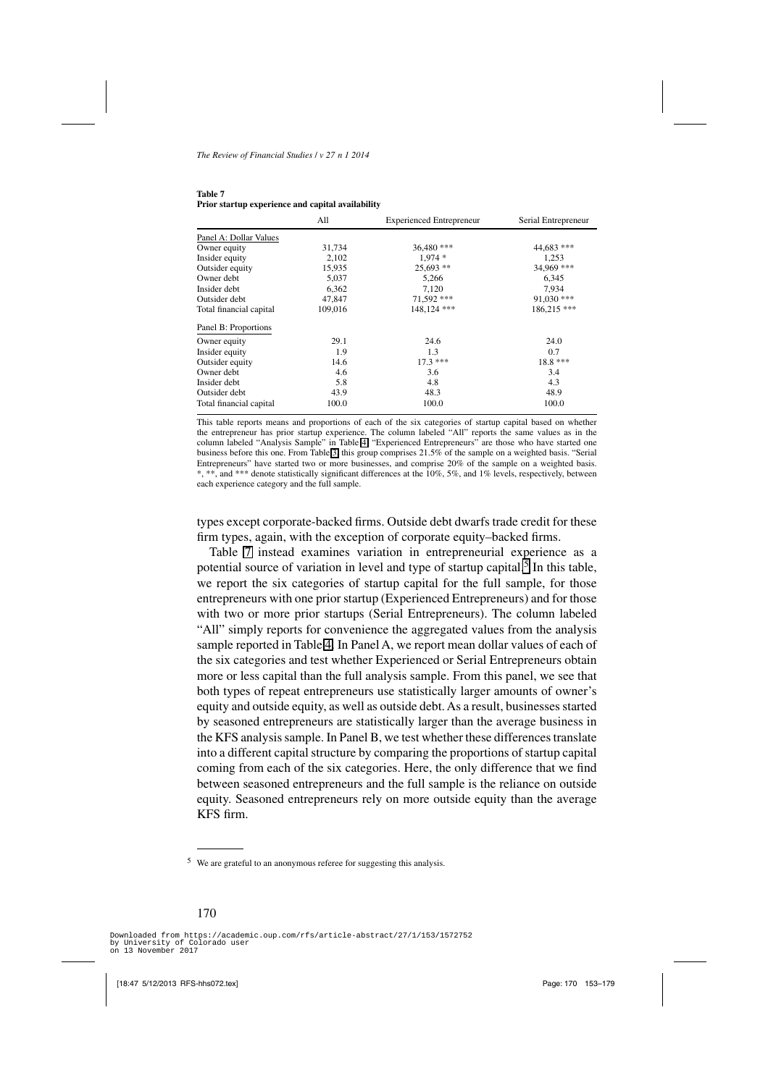|                         | All     | <b>Experienced Entrepreneur</b> | Serial Entrepreneur |
|-------------------------|---------|---------------------------------|---------------------|
| Panel A: Dollar Values  |         |                                 |                     |
| Owner equity            | 31,734  | 36,480 ***                      | 44,683 ***          |
| Insider equity          | 2,102   | $1.974*$                        | 1,253               |
| Outsider equity         | 15,935  | $25.693**$                      | 34,969 ***          |
| Owner debt              | 5,037   | 5,266                           | 6.345               |
| Insider debt            | 6,362   | 7.120                           | 7.934               |
| Outsider debt           | 47,847  | 71,592 ***                      | $91.030$ ***        |
| Total financial capital | 109.016 | 148,124 ***                     | 186,215 ***         |
| Panel B: Proportions    |         |                                 |                     |
| Owner equity            | 29.1    | 24.6                            | 24.0                |
| Insider equity          | 1.9     | 1.3                             | 0.7                 |
| Outsider equity         | 14.6    | $17.3***$                       | $18.8***$           |
| Owner debt              | 4.6     | 3.6                             | 3.4                 |
| Insider debt            | 5.8     | 4.8                             | 4.3                 |
| Outsider debt           | 43.9    | 48.3                            | 48.9                |
| Total financial capital | 100.0   | 100.0                           | 100.0               |

**Table 7 Prior startup experience and capital availability**

This table reports means and proportions of each of the six categories of startup capital based on whether the entrepreneur has prior startup experience. The column labeled "All" reports the same values as in the column labeled "Analysis Sample" in Table [4.](#page-11-0) "Experienced Entrepreneurs" are those who have started one business before this one. From Table [3,](#page-7-0) this group comprises 21.5% of the sample on a weighted basis. "Serial Entrepreneurs" have started two or more businesses, and comprise 20% of the sample on a weighted basis. \*, \*\*, and \*\*\* denote statistically significant differences at the 10%, 5%, and 1% levels, respectively, between each experience category and the full sample.

types except corporate-backed firms. Outside debt dwarfs trade credit for these firm types, again, with the exception of corporate equity–backed firms.

Table 7 instead examines variation in entrepreneurial experience as a potential source of variation in level and type of startup capital.<sup>5</sup> In this table, we report the six categories of startup capital for the full sample, for those entrepreneurs with one prior startup (Experienced Entrepreneurs) and for those with two or more prior startups (Serial Entrepreneurs). The column labeled "All" simply reports for convenience the aggregated values from the analysis sample reported in Table [4.](#page-11-0) In Panel A, we report mean dollar values of each of the six categories and test whether Experienced or Serial Entrepreneurs obtain more or less capital than the full analysis sample. From this panel, we see that both types of repeat entrepreneurs use statistically larger amounts of owner's equity and outside equity, as well as outside debt. As a result, businesses started by seasoned entrepreneurs are statistically larger than the average business in the KFS analysis sample. In Panel B, we test whether these differences translate into a different capital structure by comparing the proportions of startup capital coming from each of the six categories. Here, the only difference that we find between seasoned entrepreneurs and the full sample is the reliance on outside equity. Seasoned entrepreneurs rely on more outside equity than the average KFS firm.

<sup>5</sup> We are grateful to an anonymous referee for suggesting this analysis.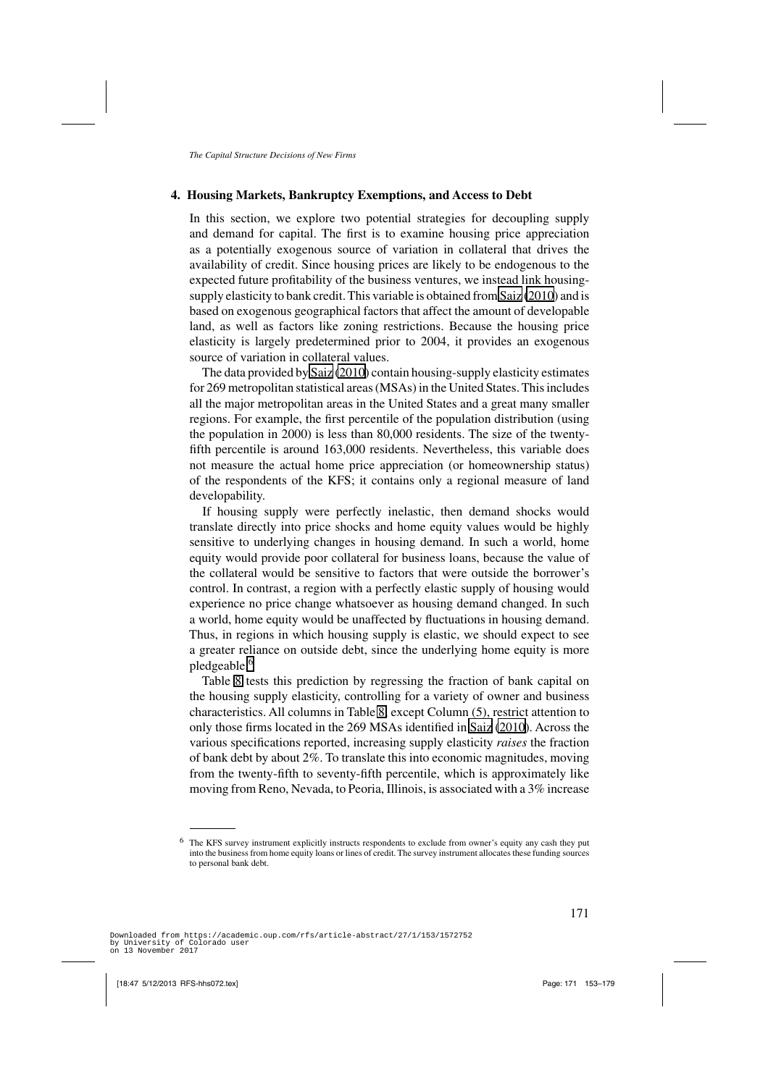# **4. Housing Markets, Bankruptcy Exemptions, and Access to Debt**

In this section, we explore two potential strategies for decoupling supply and demand for capital. The first is to examine housing price appreciation as a potentially exogenous source of variation in collateral that drives the availability of credit. Since housing prices are likely to be endogenous to the expected future profitability of the business ventures, we instead link housingsupply elasticity to bank credit. This variable is obtained from [Saiz](#page-26-0) [\(2010\)](#page-26-0) and is based on exogenous geographical factors that affect the amount of developable land, as well as factors like zoning restrictions. Because the housing price elasticity is largely predetermined prior to 2004, it provides an exogenous source of variation in collateral values.

The data provided by [Saiz](#page-26-0) [\(2010\)](#page-26-0) contain housing-supply elasticity estimates for 269 metropolitan statistical areas (MSAs) in the United States. This includes all the major metropolitan areas in the United States and a great many smaller regions. For example, the first percentile of the population distribution (using the population in 2000) is less than 80,000 residents. The size of the twentyfifth percentile is around 163,000 residents. Nevertheless, this variable does not measure the actual home price appreciation (or homeownership status) of the respondents of the KFS; it contains only a regional measure of land developability.

If housing supply were perfectly inelastic, then demand shocks would translate directly into price shocks and home equity values would be highly sensitive to underlying changes in housing demand. In such a world, home equity would provide poor collateral for business loans, because the value of the collateral would be sensitive to factors that were outside the borrower's control. In contrast, a region with a perfectly elastic supply of housing would experience no price change whatsoever as housing demand changed. In such a world, home equity would be unaffected by fluctuations in housing demand. Thus, in regions in which housing supply is elastic, we should expect to see a greater reliance on outside debt, since the underlying home equity is more pledgeable.<sup>6</sup>

Table [8](#page-19-0) tests this prediction by regressing the fraction of bank capital on the housing supply elasticity, controlling for a variety of owner and business characteristics. All columns in Table [8,](#page-19-0) except Column (5), restrict attention to only those firms located in the 269 MSAs identified in [Saiz](#page-26-0) [\(2010\)](#page-26-0). Across the various specifications reported, increasing supply elasticity *raises* the fraction of bank debt by about 2%. To translate this into economic magnitudes, moving from the twenty-fifth to seventy-fifth percentile, which is approximately like moving from Reno, Nevada, to Peoria, Illinois, is associated with a 3% increase

<sup>6</sup> The KFS survey instrument explicitly instructs respondents to exclude from owner's equity any cash they put into the business from home equity loans or lines of credit. The survey instrument allocates these funding sources to personal bank debt.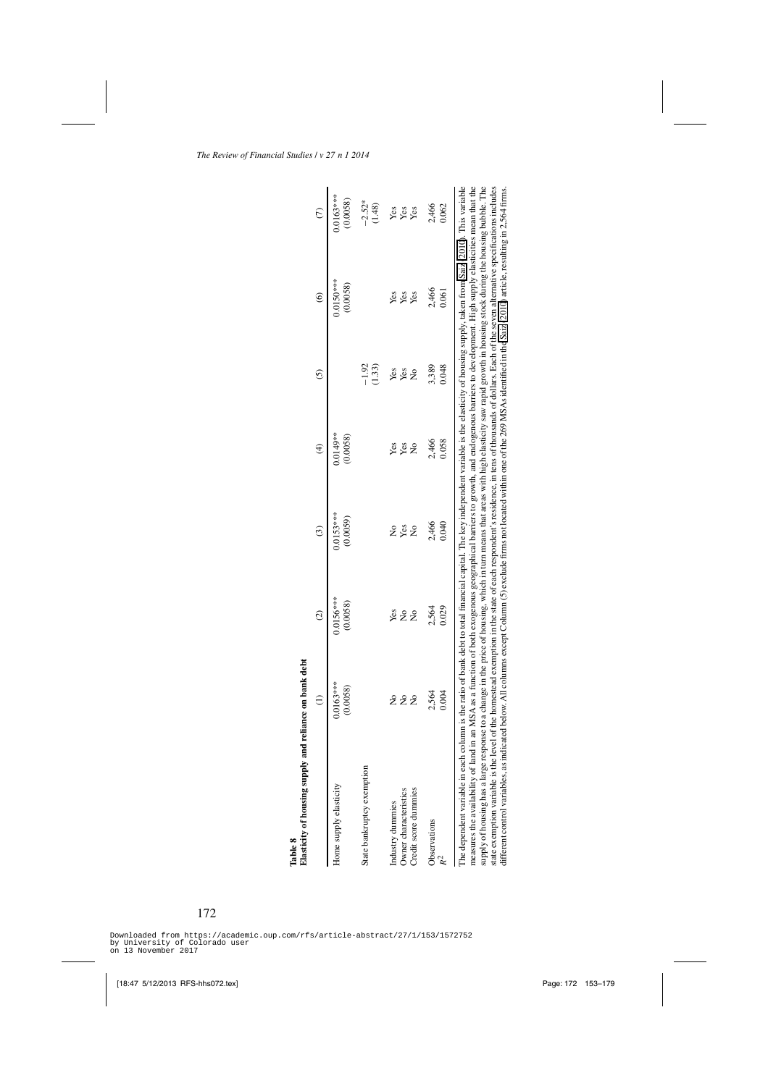<span id="page-19-0"></span>

| Elasticity of housing supply<br>Table 8                                                                                                                                                                                                                                                                                                                                                                                                                                                                                                                                                                                                                                                                                                                                                                                                             | and reliance on bank debt |                         |                                                                                                                                                                    |                        |                   |                         |                         |
|-----------------------------------------------------------------------------------------------------------------------------------------------------------------------------------------------------------------------------------------------------------------------------------------------------------------------------------------------------------------------------------------------------------------------------------------------------------------------------------------------------------------------------------------------------------------------------------------------------------------------------------------------------------------------------------------------------------------------------------------------------------------------------------------------------------------------------------------------------|---------------------------|-------------------------|--------------------------------------------------------------------------------------------------------------------------------------------------------------------|------------------------|-------------------|-------------------------|-------------------------|
|                                                                                                                                                                                                                                                                                                                                                                                                                                                                                                                                                                                                                                                                                                                                                                                                                                                     |                           | $\widehat{c}$           | $\widehat{\mathcal{C}}$                                                                                                                                            | $\widehat{E}$          | 6                 | $\circledcirc$          |                         |
| Home supply elasticity                                                                                                                                                                                                                                                                                                                                                                                                                                                                                                                                                                                                                                                                                                                                                                                                                              | $0.0163***$<br>(0.0058)   | $0.0156***$<br>(0.0058) | $0.0153***$<br>(0.0059)                                                                                                                                            | $0.0149**$<br>(0.0058) |                   | $0.0150***$<br>(0.0058) | $0.0163***$<br>(0.0058) |
| State bankruptcy exemption                                                                                                                                                                                                                                                                                                                                                                                                                                                                                                                                                                                                                                                                                                                                                                                                                          |                           |                         |                                                                                                                                                                    |                        | $-1.92$<br>(1.33) |                         | $-2.52*$<br>(1.48)      |
| Owner characteristics<br>Industry dummies                                                                                                                                                                                                                                                                                                                                                                                                                                                                                                                                                                                                                                                                                                                                                                                                           | Σò<br>$\frac{1}{2}$       | Yes<br>$\tilde{S}$      | $\frac{1}{2}$<br>Yes                                                                                                                                               | Yes<br>Yes             | Yes<br>Yes        | Yes<br>Yes              | Yes<br>Yes              |
| Credit score dummies                                                                                                                                                                                                                                                                                                                                                                                                                                                                                                                                                                                                                                                                                                                                                                                                                                | ž                         | $\frac{1}{2}$           | $\frac{1}{2}$                                                                                                                                                      | $\tilde{z}$            | $\frac{1}{2}$     | Yes                     | Yes                     |
| Observations                                                                                                                                                                                                                                                                                                                                                                                                                                                                                                                                                                                                                                                                                                                                                                                                                                        | 2,564<br>0.004            | 0.029<br>2,564          | 2,466<br>0.040                                                                                                                                                     | 2,466<br>0.58          | 0.048<br>3,389    | 2,466<br>0.061          | 2,466<br>0.062          |
| The dependent variable in each column is the ratio of bank debt to total financial capital. The key independent variable is the elasticity of housing supply, taken from Saiz (2010). This variable<br>measures the availability of land in an MSA as a function of both exogenous geographical barriers to growth, and endogenous barriers to development. High supply elasticities mean that the<br>state exemption variable is the level of the homestead exemption in the state of each respondent's residence, in tens of thousands of dollars. Each of the seven alternative specifications includes<br>different control variables, as indicated below. All columns except Column (5) exclude firms not located within one of the 269 MSAs identified in the Saiz (2010) article, resulting in 2,564 firms.<br>supply of housing has a large |                           |                         | response to a change in the price of housing, which in turn means that areas with high elasticity saw rapid growth in housing stock during the housing bubble. The |                        |                   |                         |                         |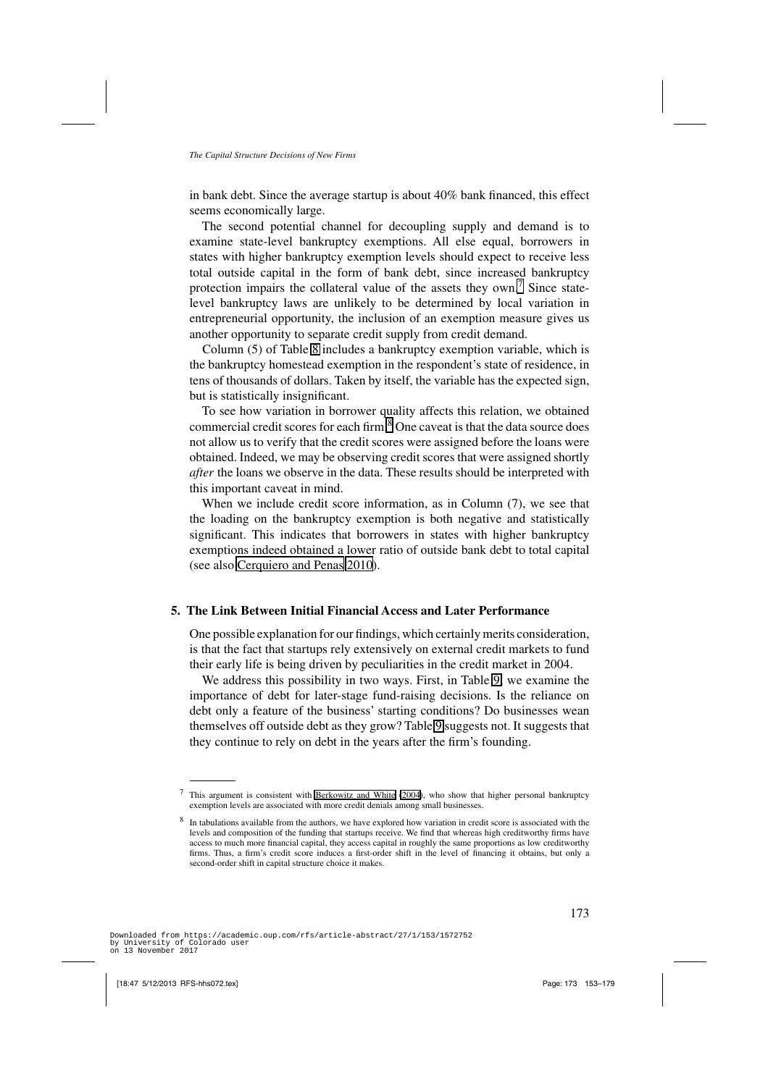in bank debt. Since the average startup is about 40% bank financed, this effect seems economically large.

The second potential channel for decoupling supply and demand is to examine state-level bankruptcy exemptions. All else equal, borrowers in states with higher bankruptcy exemption levels should expect to receive less total outside capital in the form of bank debt, since increased bankruptcy protection impairs the collateral value of the assets they own.<sup>7</sup> Since statelevel bankruptcy laws are unlikely to be determined by local variation in entrepreneurial opportunity, the inclusion of an exemption measure gives us another opportunity to separate credit supply from credit demand.

Column (5) of Table [8](#page-19-0) includes a bankruptcy exemption variable, which is the bankruptcy homestead exemption in the respondent's state of residence, in tens of thousands of dollars. Taken by itself, the variable has the expected sign, but is statistically insignificant.

To see how variation in borrower quality affects this relation, we obtained commercial credit scores for each firm.<sup>8</sup> One caveat is that the data source does not allow us to verify that the credit scores were assigned before the loans were obtained. Indeed, we may be observing credit scores that were assigned shortly *after* the loans we observe in the data. These results should be interpreted with this important caveat in mind.

When we include credit score information, as in Column (7), we see that the loading on the bankruptcy exemption is both negative and statistically significant. This indicates that borrowers in states with higher bankruptcy exemptions indeed obtained a lower ratio of outside bank debt to total capital (see also [Cerquiero and Penas 2010\)](#page-25-0).

## **5. The Link Between Initial Financial Access and Later Performance**

One possible explanation for our findings, which certainly merits consideration, is that the fact that startups rely extensively on external credit markets to fund their early life is being driven by peculiarities in the credit market in 2004.

We address this possibility in two ways. First, in Table [9,](#page-21-0) we examine the importance of debt for later-stage fund-raising decisions. Is the reliance on debt only a feature of the business' starting conditions? Do businesses wean themselves off outside debt as they grow? Table [9](#page-21-0) suggests not. It suggests that they continue to rely on debt in the years after the firm's founding.

<sup>7</sup> This argument is consistent with [Berkowitz and White](#page-25-0) [\(2004](#page-25-0)), who show that higher personal bankruptcy exemption levels are associated with more credit denials among small businesses.

<sup>8</sup> In tabulations available from the authors, we have explored how variation in credit score is associated with the levels and composition of the funding that startups receive. We find that whereas high creditworthy firms have access to much more financial capital, they access capital in roughly the same proportions as low creditworthy firms. Thus, a firm's credit score induces a first-order shift in the level of financing it obtains, but only a second-order shift in capital structure choice it makes.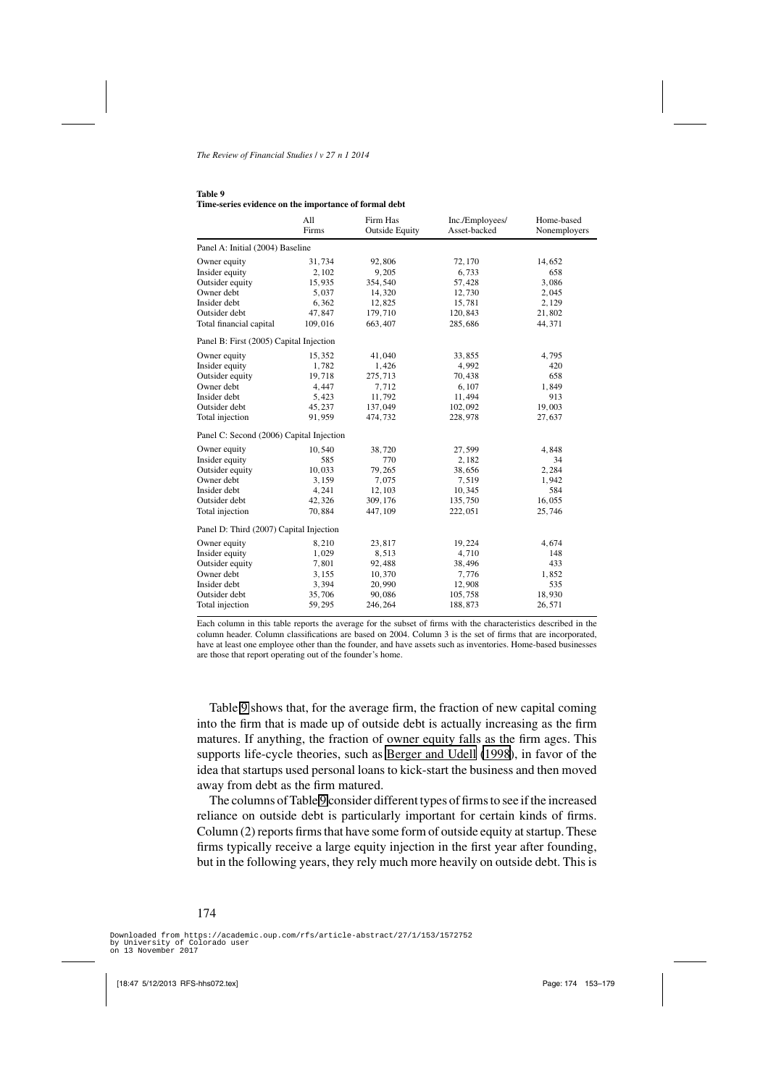|                                          | All<br>Firms | Firm Has<br><b>Outside Equity</b> | Inc./Employees/<br>Asset-backed | Home-based<br>Nonemployers |
|------------------------------------------|--------------|-----------------------------------|---------------------------------|----------------------------|
| Panel A: Initial (2004) Baseline         |              |                                   |                                 |                            |
| Owner equity                             | 31,734       | 92,806                            | 72,170                          | 14,652                     |
| Insider equity                           | 2,102        | 9,205                             | 6,733                           | 658                        |
| Outsider equity                          | 15,935       | 354,540                           | 57,428                          | 3,086                      |
| Owner debt                               | 5,037        | 14,320                            | 12,730                          | 2,045                      |
| Insider debt                             | 6,362        | 12,825                            | 15,781                          | 2,129                      |
| Outsider debt                            | 47,847       | 179,710                           | 120,843                         | 21,802                     |
| Total financial capital                  | 109,016      | 663,407                           | 285,686                         | 44,371                     |
| Panel B: First (2005) Capital Injection  |              |                                   |                                 |                            |
| Owner equity                             | 15,352       | 41,040                            | 33,855                          | 4,795                      |
| Insider equity                           | 1,782        | 1,426                             | 4,992                           | 420                        |
| Outsider equity                          | 19,718       | 275,713                           | 70,438                          | 658                        |
| Owner debt                               | 4,447        | 7,712                             | 6,107                           | 1,849                      |
| Insider debt                             | 5,423        | 11,792                            | 11,494                          | 913                        |
| Outsider debt                            | 45,237       | 137,049                           | 102,092                         | 19,003                     |
| Total injection                          | 91,959       | 474,732                           | 228,978                         | 27,637                     |
| Panel C: Second (2006) Capital Injection |              |                                   |                                 |                            |
| Owner equity                             | 10,540       | 38,720                            | 27,599                          | 4,848                      |
| Insider equity                           | 585          | 770                               | 2,182                           | 34                         |
| Outsider equity                          | 10,033       | 79,265                            | 38,656                          | 2,284                      |
| Owner debt                               | 3,159        | 7,075                             | 7,519                           | 1,942                      |
| Insider debt                             | 4,241        | 12, 103                           | 10,345                          | 584                        |
| Outsider debt                            | 42,326       | 309, 176                          | 135,750                         | 16,055                     |
| Total injection                          | 70,884       | 447, 109                          | 222,051                         | 25,746                     |
| Panel D: Third (2007) Capital Injection  |              |                                   |                                 |                            |
| Owner equity                             | 8,210        | 23,817                            | 19,224                          | 4,674                      |
| Insider equity                           | 1,029        | 8,513                             | 4,710                           | 148                        |
| Outsider equity                          | 7,801        | 92,488                            | 38,496                          | 433                        |
| Owner debt                               | 3,155        | 10,370                            | 7,776                           | 1,852                      |
| Insider debt                             | 3,394        | 20,990                            | 12,908                          | 535                        |
| Outsider debt                            | 35,706       | 90,086                            | 105,758                         | 18,930                     |
| Total injection                          | 59,295       | 246, 264                          | 188,873                         | 26,571                     |

<span id="page-21-0"></span>**Table 9 Time-series evidence on the importance of formal debt**

Each column in this table reports the average for the subset of firms with the characteristics described in the column header. Column classifications are based on 2004. Column 3 is the set of firms that are incorporated, have at least one employee other than the founder, and have assets such as inventories. Home-based businesses are those that report operating out of the founder's home.

Table 9 shows that, for the average firm, the fraction of new capital coming into the firm that is made up of outside debt is actually increasing as the firm matures. If anything, the fraction of owner equity falls as the firm ages. This supports life-cycle theories, such as [Berger and Udell](#page-25-0) [\(1998](#page-25-0)), in favor of the idea that startups used personal loans to kick-start the business and then moved away from debt as the firm matured.

The columns of Table 9 consider different types of firms to see if the increased reliance on outside debt is particularly important for certain kinds of firms. Column (2) reports firms that have some form of outside equity at startup. These firms typically receive a large equity injection in the first year after founding, but in the following years, they rely much more heavily on outside debt. This is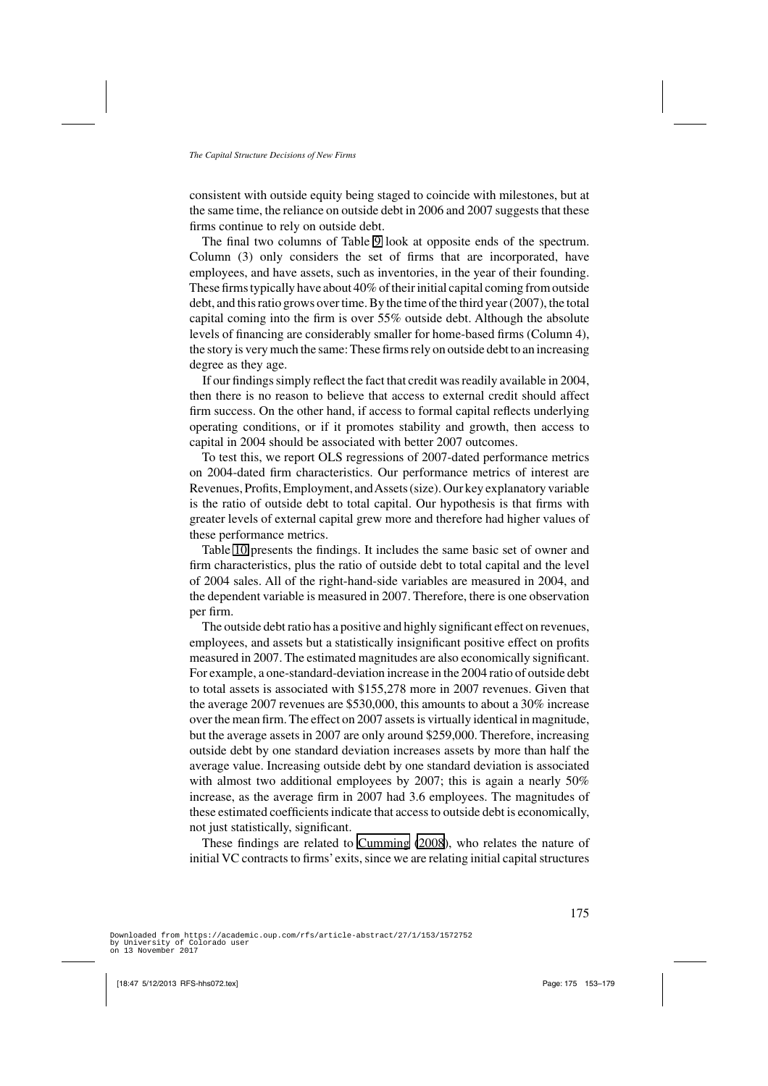consistent with outside equity being staged to coincide with milestones, but at the same time, the reliance on outside debt in 2006 and 2007 suggests that these firms continue to rely on outside debt.

The final two columns of Table [9](#page-21-0) look at opposite ends of the spectrum. Column (3) only considers the set of firms that are incorporated, have employees, and have assets, such as inventories, in the year of their founding. These firms typically have about 40% of their initial capital coming from outside debt, and this ratio grows over time. By the time of the third year (2007), the total capital coming into the firm is over 55% outside debt. Although the absolute levels of financing are considerably smaller for home-based firms (Column 4), the story is very much the same: These firms rely on outside debt to an increasing degree as they age.

If our findings simply reflect the fact that credit was readily available in 2004, then there is no reason to believe that access to external credit should affect firm success. On the other hand, if access to formal capital reflects underlying operating conditions, or if it promotes stability and growth, then access to capital in 2004 should be associated with better 2007 outcomes.

To test this, we report OLS regressions of 2007-dated performance metrics on 2004-dated firm characteristics. Our performance metrics of interest are Revenues, Profits, Employment, andAssets (size). Our key explanatory variable is the ratio of outside debt to total capital. Our hypothesis is that firms with greater levels of external capital grew more and therefore had higher values of these performance metrics.

Table [10](#page-23-0) presents the findings. It includes the same basic set of owner and firm characteristics, plus the ratio of outside debt to total capital and the level of 2004 sales. All of the right-hand-side variables are measured in 2004, and the dependent variable is measured in 2007. Therefore, there is one observation per firm.

The outside debt ratio has a positive and highly significant effect on revenues, employees, and assets but a statistically insignificant positive effect on profits measured in 2007. The estimated magnitudes are also economically significant. For example, a one-standard-deviation increase in the 2004 ratio of outside debt to total assets is associated with \$155,278 more in 2007 revenues. Given that the average 2007 revenues are \$530,000, this amounts to about a 30% increase over the mean firm. The effect on 2007 assets is virtually identical in magnitude, but the average assets in 2007 are only around \$259,000. Therefore, increasing outside debt by one standard deviation increases assets by more than half the average value. Increasing outside debt by one standard deviation is associated with almost two additional employees by 2007; this is again a nearly 50% increase, as the average firm in 2007 had 3.6 employees. The magnitudes of these estimated coefficients indicate that access to outside debt is economically, not just statistically, significant.

These findings are related to [Cumming](#page-25-0) [\(2008](#page-25-0)), who relates the nature of initial VC contracts to firms'exits, since we are relating initial capital structures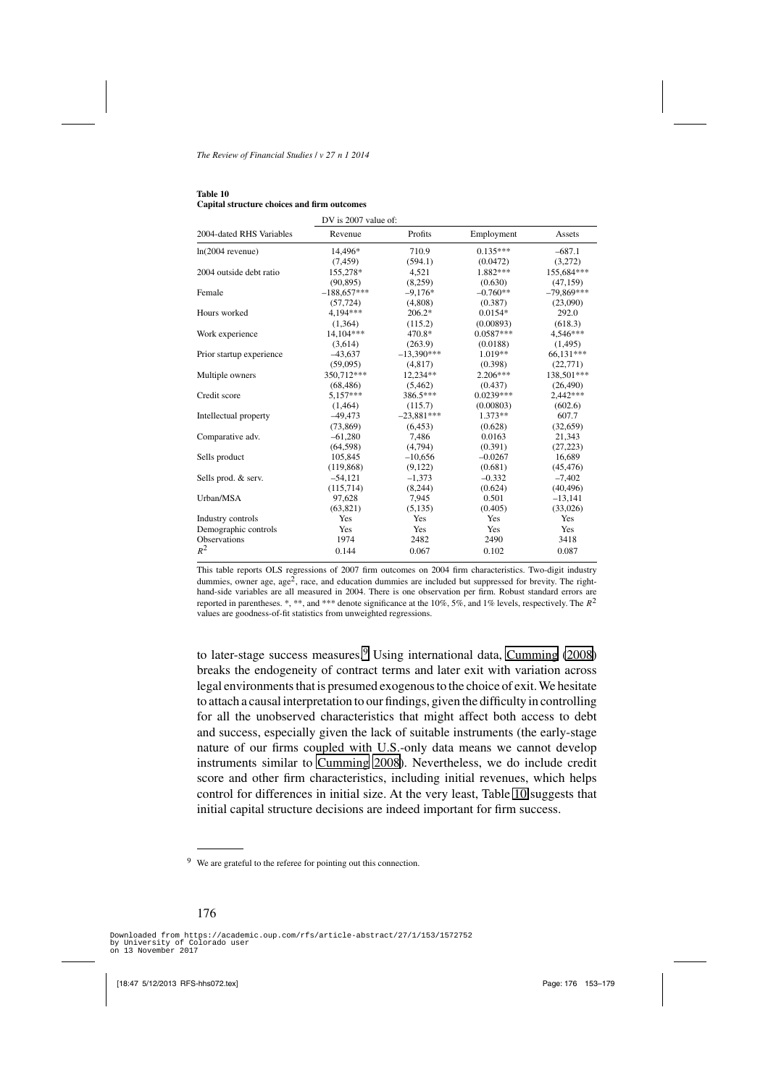<span id="page-23-0"></span>

| Table 10                                    |  |  |
|---------------------------------------------|--|--|
| Capital structure choices and firm outcomes |  |  |

|                          | DV is 2007 value of: |              |             |              |
|--------------------------|----------------------|--------------|-------------|--------------|
| 2004-dated RHS Variables | Revenue              | Profits      | Employment  | Assets       |
| $ln(2004$ revenue)       | 14,496*              | 710.9        | $0.135***$  | $-687.1$     |
|                          | (7, 459)             | (594.1)      | (0.0472)    | (3,272)      |
| 2004 outside debt ratio  | 155,278*             | 4,521        | 1.882***    | 155,684***   |
|                          | (90, 895)            | (8,259)      | (0.630)     | (47, 159)    |
| Female                   | $-188,657***$        | $-9,176*$    | $-0.760**$  | $-79.869***$ |
|                          | (57, 724)            | (4,808)      | (0.387)     | (23,090)     |
| Hours worked             | 4,194***             | $206.2*$     | $0.0154*$   | 292.0        |
|                          | (1,364)              | (115.2)      | (0.00893)   | (618.3)      |
| Work experience          | 14,104***            | 470.8*       | $0.0587***$ | 4,546***     |
|                          | (3,614)              | (263.9)      | (0.0188)    | (1, 495)     |
| Prior startup experience | $-43,637$            | $-13.390***$ | 1.019**     | 66,131***    |
|                          | (59,095)             | (4, 817)     | (0.398)     | (22, 771)    |
| Multiple owners          | 350,712***           | 12,234**     | $2.206***$  | 138,501***   |
|                          | (68, 486)            | (5, 462)     | (0.437)     | (26, 490)    |
| Credit score             | 5.157***             | 386.5***     | $0.0239***$ | 2.442***     |
|                          | (1.464)              | (115.7)      | (0.00803)   | (602.6)      |
| Intellectual property    | $-49,473$            | $-23,881***$ | 1.373**     | 607.7        |
|                          | (73, 869)            | (6, 453)     | (0.628)     | (32, 659)    |
| Comparative adv.         | $-61,280$            | 7,486        | 0.0163      | 21,343       |
|                          | (64, 598)            | (4,794)      | (0.391)     | (27, 223)    |
| Sells product            | 105,845              | $-10,656$    | $-0.0267$   | 16,689       |
|                          | (119, 868)           | (9,122)      | (0.681)     | (45, 476)    |
| Sells prod. & serv.      | $-54,121$            | $-1,373$     | $-0.332$    | $-7,402$     |
|                          | (115, 714)           | (8,244)      | (0.624)     | (40, 496)    |
| Urban/MSA                | 97,628               | 7,945        | 0.501       | $-13,141$    |
|                          | (63, 821)            | (5, 135)     | (0.405)     | (33,026)     |
| Industry controls        | Yes                  | Yes          | <b>Yes</b>  | Yes          |
| Demographic controls     | Yes                  | Yes          | Yes         | Yes          |
| Observations             | 1974                 | 2482         | 2490        | 3418         |
| $R^2$                    | 0.144                | 0.067        | 0.102       | 0.087        |

This table reports OLS regressions of 2007 firm outcomes on 2004 firm characteristics. Two-digit industry dummies, owner age, age<sup>2</sup>, race, and education dummies are included but suppressed for brevity. The righthand-side variables are all measured in 2004. There is one observation per firm. Robust standard errors are reported in parentheses. \*, \*\*, and \*\*\* denote significance at the 10%, 5%, and 1% levels, respectively. The  $R^2$ values are goodness-of-fit statistics from unweighted regressions.

to later-stage success measures.<sup>9</sup> Using international data, [Cumming](#page-25-0) [\(2008\)](#page-25-0) breaks the endogeneity of contract terms and later exit with variation across legal environments that is presumed exogenous to the choice of exit.We hesitate to attach a causal interpretation to our findings, given the difficulty in controlling for all the unobserved characteristics that might affect both access to debt and success, especially given the lack of suitable instruments (the early-stage nature of our firms coupled with U.S.-only data means we cannot develop instruments similar to [Cumming 2008\)](#page-25-0). Nevertheless, we do include credit score and other firm characteristics, including initial revenues, which helps control for differences in initial size. At the very least, Table 10 suggests that initial capital structure decisions are indeed important for firm success.

<sup>9</sup> We are grateful to the referee for pointing out this connection.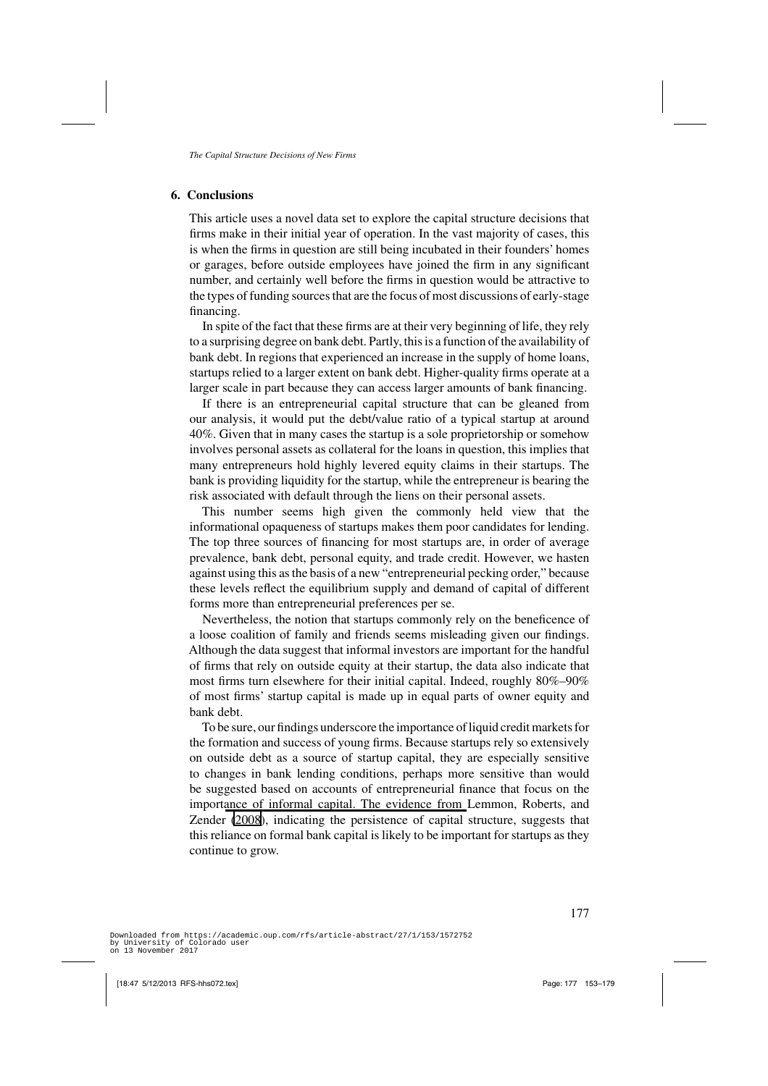# **6. Conclusions**

This article uses a novel data set to explore the capital structure decisions that firms make in their initial year of operation. In the vast majority of cases, this is when the firms in question are still being incubated in their founders' homes or garages, before outside employees have joined the firm in any significant number, and certainly well before the firms in question would be attractive to the types of funding sources that are the focus of most discussions of early-stage financing.

In spite of the fact that these firms are at their very beginning of life, they rely to a surprising degree on bank debt. Partly, this is a function of the availability of bank debt. In regions that experienced an increase in the supply of home loans, startups relied to a larger extent on bank debt. Higher-quality firms operate at a larger scale in part because they can access larger amounts of bank financing.

If there is an entrepreneurial capital structure that can be gleaned from our analysis, it would put the debt/value ratio of a typical startup at around 40%. Given that in many cases the startup is a sole proprietorship or somehow involves personal assets as collateral for the loans in question, this implies that many entrepreneurs hold highly levered equity claims in their startups. The bank is providing liquidity for the startup, while the entrepreneur is bearing the risk associated with default through the liens on their personal assets.

This number seems high given the commonly held view that the informational opaqueness of startups makes them poor candidates for lending. The top three sources of financing for most startups are, in order of average prevalence, bank debt, personal equity, and trade credit. However, we hasten against using this as the basis of a new "entrepreneurial pecking order," because these levels reflect the equilibrium supply and demand of capital of different forms more than entrepreneurial preferences per se.

Nevertheless, the notion that startups commonly rely on the beneficence of a loose coalition of family and friends seems misleading given our findings. Although the data suggest that informal investors are important for the handful of firms that rely on outside equity at their startup, the data also indicate that most firms turn elsewhere for their initial capital. Indeed, roughly 80%–90% of most firms' startup capital is made up in equal parts of owner equity and bank debt.

To be sure, our findings underscore the importance of liquid credit markets for the formation and success of young firms. Because startups rely so extensively on outside debt as a source of startup capital, they are especially sensitive to changes in bank lending conditions, perhaps more sensitive than would be suggested based on accounts of entrepreneurial finance that focus on the import[ance of informal capital. The evidence from](#page-25-0) Lemmon, Roberts, and Zender [\(2008](#page-25-0)), indicating the persistence of capital structure, suggests that this reliance on formal bank capital is likely to be important for startups as they continue to grow.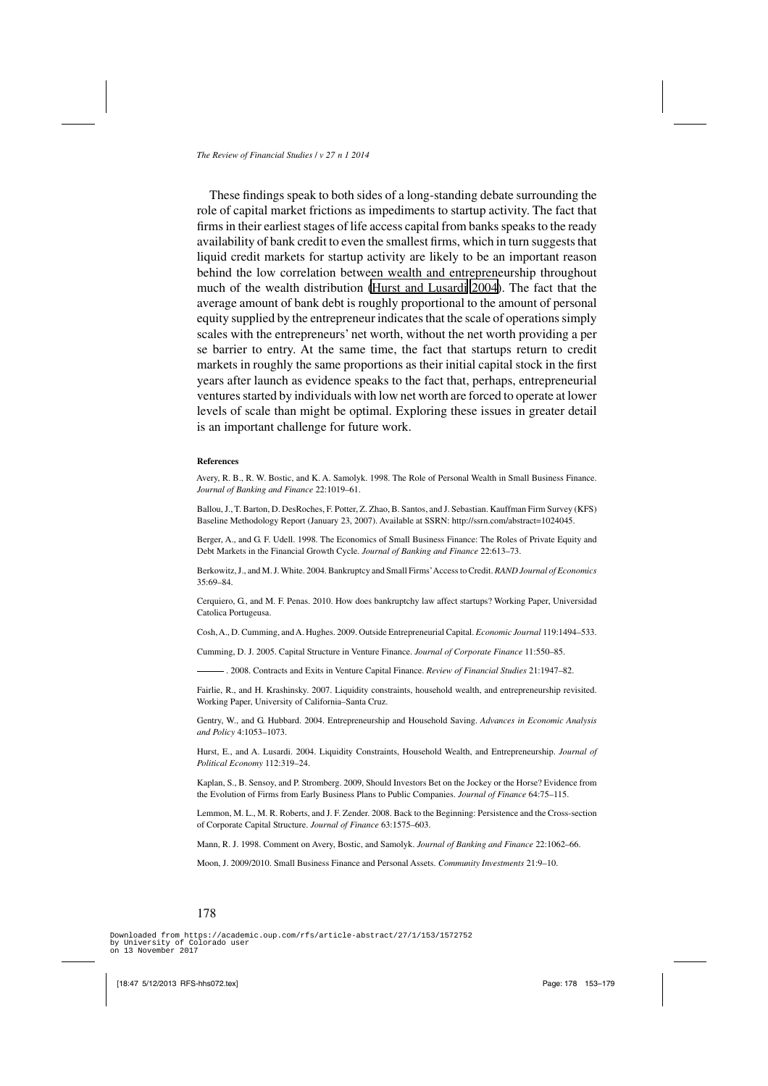<span id="page-25-0"></span>These findings speak to both sides of a long-standing debate surrounding the role of capital market frictions as impediments to startup activity. The fact that firms in their earliest stages of life access capital from banks speaks to the ready availability of bank credit to even the smallest firms, which in turn suggests that liquid credit markets for startup activity are likely to be an important reason behind the low correlation between wealth and entrepreneurship throughout much of the wealth distribution (Hurst and Lusardi 2004). The fact that the average amount of bank debt is roughly proportional to the amount of personal equity supplied by the entrepreneur indicates that the scale of operations simply scales with the entrepreneurs' net worth, without the net worth providing a per se barrier to entry. At the same time, the fact that startups return to credit markets in roughly the same proportions as their initial capital stock in the first years after launch as evidence speaks to the fact that, perhaps, entrepreneurial ventures started by individuals with low net worth are forced to operate at lower levels of scale than might be optimal. Exploring these issues in greater detail is an important challenge for future work.

#### **References**

Avery, R. B., R. W. Bostic, and K. A. Samolyk. 1998. The Role of Personal Wealth in Small Business Finance. *Journal of Banking and Finance* 22:1019–61.

Ballou, J., T. Barton, D. DesRoches, F. Potter, Z. Zhao, B. Santos, and J. Sebastian. Kauffman Firm Survey (KFS) Baseline Methodology Report (January 23, 2007). Available at SSRN: http://ssrn.com/abstract=1024045.

Berger, A., and G. F. Udell. 1998. The Economics of Small Business Finance: The Roles of Private Equity and Debt Markets in the Financial Growth Cycle. *Journal of Banking and Finance* 22:613–73.

Berkowitz, J., and M. J.White. 2004. Bankruptcy and Small Firms'Access to Credit. *RAND Journal of Economics* 35:69–84.

Cerquiero, G., and M. F. Penas. 2010. How does bankruptchy law affect startups? Working Paper, Universidad Catolica Portugeusa.

Cosh,A., D. Cumming, andA. Hughes. 2009. Outside Entrepreneurial Capital. *Economic Journal* 119:1494–533.

Cumming, D. J. 2005. Capital Structure in Venture Finance. *Journal of Corporate Finance* 11:550–85.

. 2008. Contracts and Exits in Venture Capital Finance. *Review of Financial Studies* 21:1947–82.

Fairlie, R., and H. Krashinsky. 2007. Liquidity constraints, household wealth, and entrepreneurship revisited. Working Paper, University of California–Santa Cruz.

Gentry, W., and G. Hubbard. 2004. Entrepreneurship and Household Saving. *Advances in Economic Analysis and Policy* 4:1053–1073.

Hurst, E., and A. Lusardi. 2004. Liquidity Constraints, Household Wealth, and Entrepreneurship. *Journal of Political Economy* 112:319–24.

Kaplan, S., B. Sensoy, and P. Stromberg. 2009, Should Investors Bet on the Jockey or the Horse? Evidence from the Evolution of Firms from Early Business Plans to Public Companies. *Journal of Finance* 64:75–115.

Lemmon, M. L., M. R. Roberts, and J. F. Zender. 2008. Back to the Beginning: Persistence and the Cross-section of Corporate Capital Structure. *Journal of Finance* 63:1575–603.

Mann, R. J. 1998. Comment on Avery, Bostic, and Samolyk. *Journal of Banking and Finance* 22:1062–66.

Moon, J. 2009/2010. Small Business Finance and Personal Assets. *Community Investments* 21:9–10.